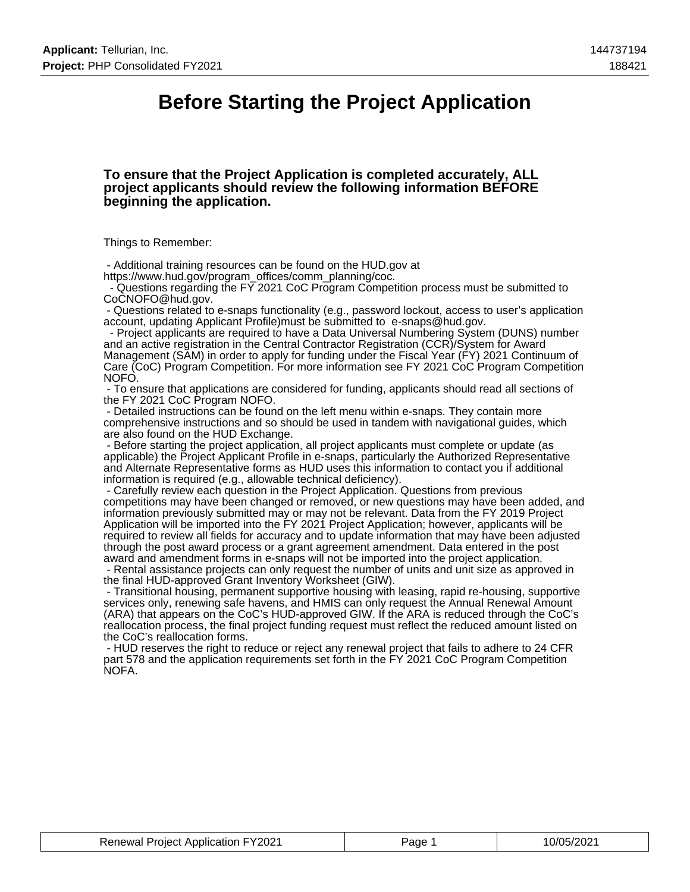## **Before Starting the Project Application**

#### **To ensure that the Project Application is completed accurately, ALL project applicants should review the following information BEFORE beginning the application.**

Things to Remember:

 - Additional training resources can be found on the HUD.gov at https://www.hud.gov/program\_offices/comm\_planning/coc.

 - Questions regarding the FY 2021 CoC Program Competition process must be submitted to CoCNOFO@hud.gov.

 - Questions related to e-snaps functionality (e.g., password lockout, access to user's application account, updating Applicant Profile)must be submitted to e-snaps@hud.gov.

 - Project applicants are required to have a Data Universal Numbering System (DUNS) number and an active registration in the Central Contractor Registration (CCR)/System for Award Management (SAM) in order to apply for funding under the Fiscal Year (FY) 2021 Continuum of Care (CoC) Program Competition. For more information see FY 2021 CoC Program Competition NOFO.

 - To ensure that applications are considered for funding, applicants should read all sections of the FY 2021 CoC Program NOFO.

 - Detailed instructions can be found on the left menu within e-snaps. They contain more comprehensive instructions and so should be used in tandem with navigational guides, which are also found on the HUD Exchange.

 - Before starting the project application, all project applicants must complete or update (as applicable) the Project Applicant Profile in e-snaps, particularly the Authorized Representative and Alternate Representative forms as HUD uses this information to contact you if additional information is required (e.g., allowable technical deficiency).

 - Carefully review each question in the Project Application. Questions from previous competitions may have been changed or removed, or new questions may have been added, and information previously submitted may or may not be relevant. Data from the FY 2019 Project Application will be imported into the FY 2021 Project Application; however, applicants will be required to review all fields for accuracy and to update information that may have been adjusted through the post award process or a grant agreement amendment. Data entered in the post award and amendment forms in e-snaps will not be imported into the project application.

 - Rental assistance projects can only request the number of units and unit size as approved in the final HUD-approved Grant Inventory Worksheet (GIW).

 - Transitional housing, permanent supportive housing with leasing, rapid re-housing, supportive services only, renewing safe havens, and HMIS can only request the Annual Renewal Amount (ARA) that appears on the CoC's HUD-approved GIW. If the ARA is reduced through the CoC's reallocation process, the final project funding request must reflect the reduced amount listed on the CoC's reallocation forms.

 - HUD reserves the right to reduce or reject any renewal project that fails to adhere to 24 CFR part 578 and the application requirements set forth in the FY 2021 CoC Program Competition NOFA.

| <b>Renewal Project Application FY2021</b> | Page | 10/05/2021 |
|-------------------------------------------|------|------------|
|-------------------------------------------|------|------------|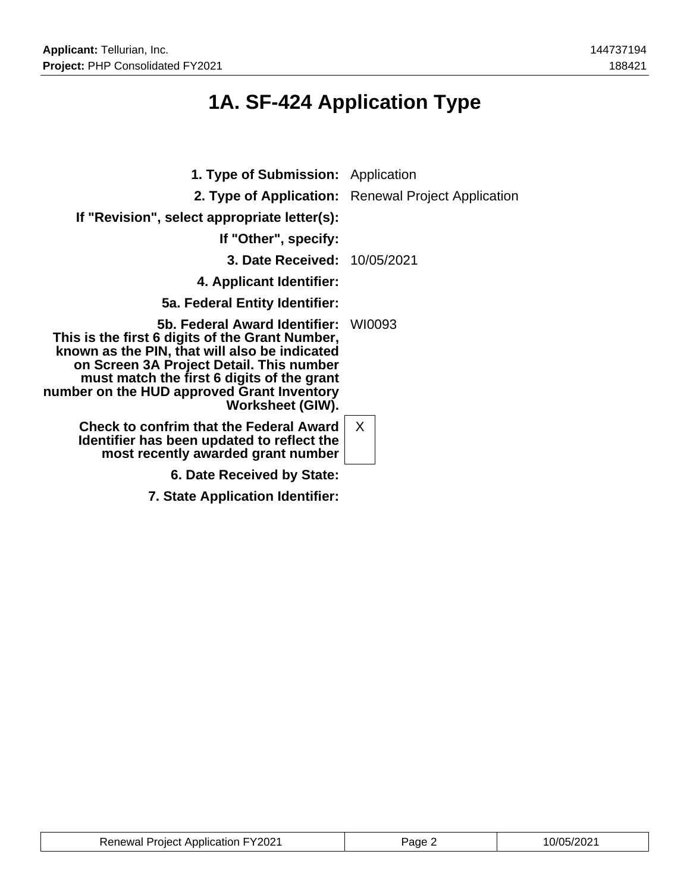# **1A. SF-424 Application Type**

| <b>1. Type of Submission:</b> Application                                                                                                                                                                                                                                                     |                                                     |
|-----------------------------------------------------------------------------------------------------------------------------------------------------------------------------------------------------------------------------------------------------------------------------------------------|-----------------------------------------------------|
|                                                                                                                                                                                                                                                                                               | 2. Type of Application: Renewal Project Application |
| If "Revision", select appropriate letter(s):                                                                                                                                                                                                                                                  |                                                     |
| If "Other", specify:                                                                                                                                                                                                                                                                          |                                                     |
| <b>3. Date Received: 10/05/2021</b>                                                                                                                                                                                                                                                           |                                                     |
| 4. Applicant Identifier:                                                                                                                                                                                                                                                                      |                                                     |
| 5a. Federal Entity Identifier:                                                                                                                                                                                                                                                                |                                                     |
| 5b. Federal Award Identifier:<br>This is the first 6 digits of the Grant Number,<br>known as the PIN, that will also be indicated<br>on Screen 3A Project Detail. This number<br>must match the first 6 digits of the grant<br>number on the HUD approved Grant Inventory<br>Worksheet (GIW). | WI0093                                              |
| <b>Check to confrim that the Federal Award</b><br>Identifier has been updated to reflect the<br>most recently awarded grant number                                                                                                                                                            | X                                                   |
| 6. Date Received by State:                                                                                                                                                                                                                                                                    |                                                     |
| 7. State Application Identifier:                                                                                                                                                                                                                                                              |                                                     |

| <b>Renewal Project Application FY2021</b> | Page | 10/05/2021 |
|-------------------------------------------|------|------------|
|-------------------------------------------|------|------------|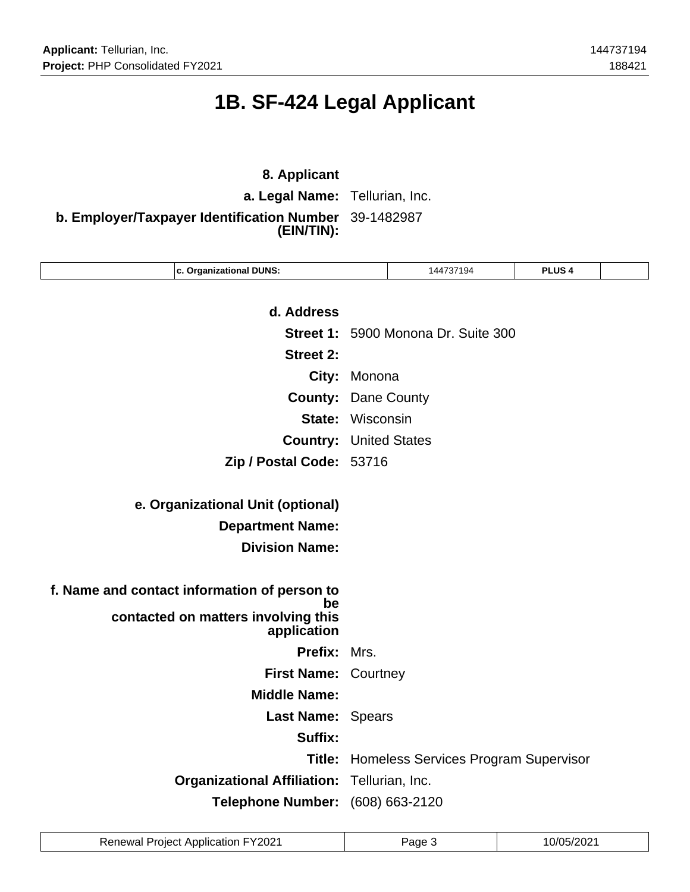# **1B. SF-424 Legal Applicant**

## **8. Applicant**

**a. Legal Name:** Tellurian, Inc.

**b. Employer/Taxpayer Identification Number** 39-1482987 **(EIN/TIN):**

| c. Organizational DUNS:                      |                         | 144737194                            | <b>PLUS 4</b> |  |
|----------------------------------------------|-------------------------|--------------------------------------|---------------|--|
|                                              |                         |                                      |               |  |
| d. Address                                   |                         |                                      |               |  |
|                                              |                         | Street 1: 5900 Monona Dr. Suite 300  |               |  |
| <b>Street 2:</b>                             |                         |                                      |               |  |
| City:                                        | Monona                  |                                      |               |  |
| <b>County:</b>                               | Dane County             |                                      |               |  |
|                                              | <b>State: Wisconsin</b> |                                      |               |  |
| <b>Country: United States</b>                |                         |                                      |               |  |
| Zip / Postal Code: 53716                     |                         |                                      |               |  |
|                                              |                         |                                      |               |  |
| e. Organizational Unit (optional)            |                         |                                      |               |  |
| <b>Department Name:</b>                      |                         |                                      |               |  |
| <b>Division Name:</b>                        |                         |                                      |               |  |
|                                              |                         |                                      |               |  |
| f. Name and contact information of person to |                         |                                      |               |  |
| be<br>contacted on matters involving this    |                         |                                      |               |  |
| application                                  |                         |                                      |               |  |
| Prefix:                                      | Mrs.                    |                                      |               |  |
| First Name: Courtney                         |                         |                                      |               |  |
| <b>Middle Name:</b>                          |                         |                                      |               |  |
| Last Name: Spears                            |                         |                                      |               |  |
| Suffix:                                      |                         |                                      |               |  |
| Title:                                       |                         | Homeless Services Program Supervisor |               |  |
|                                              |                         |                                      |               |  |
| <b>Organizational Affiliation:</b>           |                         | Tellurian, Inc.                      |               |  |

| <b>Renewal Project Application FY2021</b> | Page | 10/05/2021 |
|-------------------------------------------|------|------------|
|-------------------------------------------|------|------------|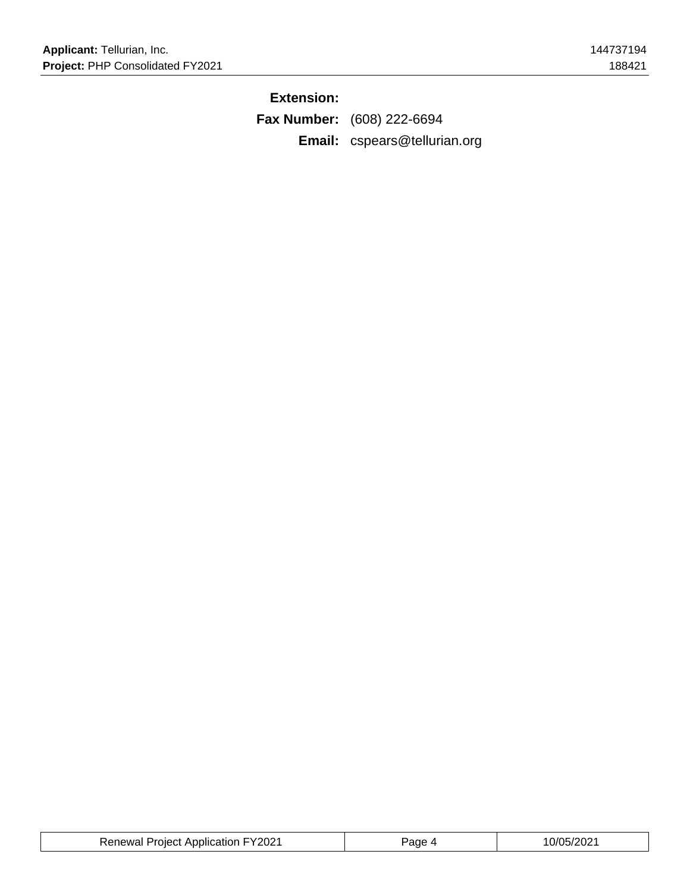## **Extension:**

**Fax Number:** (608) 222-6694 **Email:** cspears@tellurian.org

| <b>Renewal Project Application FY2021</b> | Page | 10/05/2021 |
|-------------------------------------------|------|------------|
|-------------------------------------------|------|------------|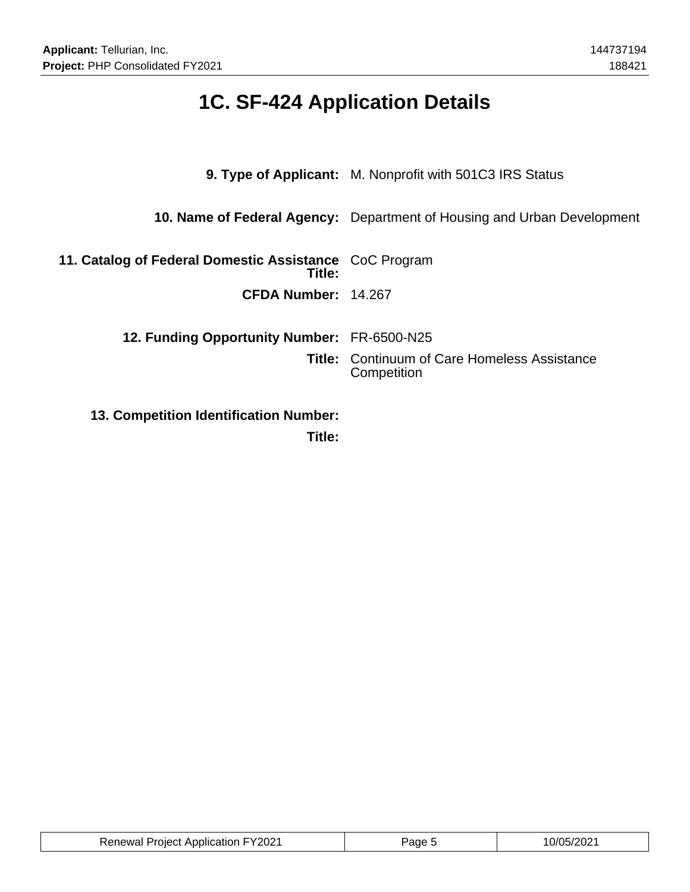# **1C. SF-424 Application Details**

|                                                                  | <b>9. Type of Applicant:</b> M. Nonprofit with 501C3 IRS Status         |
|------------------------------------------------------------------|-------------------------------------------------------------------------|
|                                                                  | 10. Name of Federal Agency: Department of Housing and Urban Development |
| 11. Catalog of Federal Domestic Assistance CoC Program<br>Title: |                                                                         |
| CFDA Number: 14.267                                              |                                                                         |
| <b>12. Funding Opportunity Number: FR-6500-N25</b>               |                                                                         |
|                                                                  | <b>Title:</b> Continuum of Care Homeless Assistance<br>Competition      |
| <b>13. Competition Identification Number:</b>                    |                                                                         |

**Title:**

| auon FY2021 بان<br>Proiect Annlication.<br>Renewal |  |  |
|----------------------------------------------------|--|--|
|----------------------------------------------------|--|--|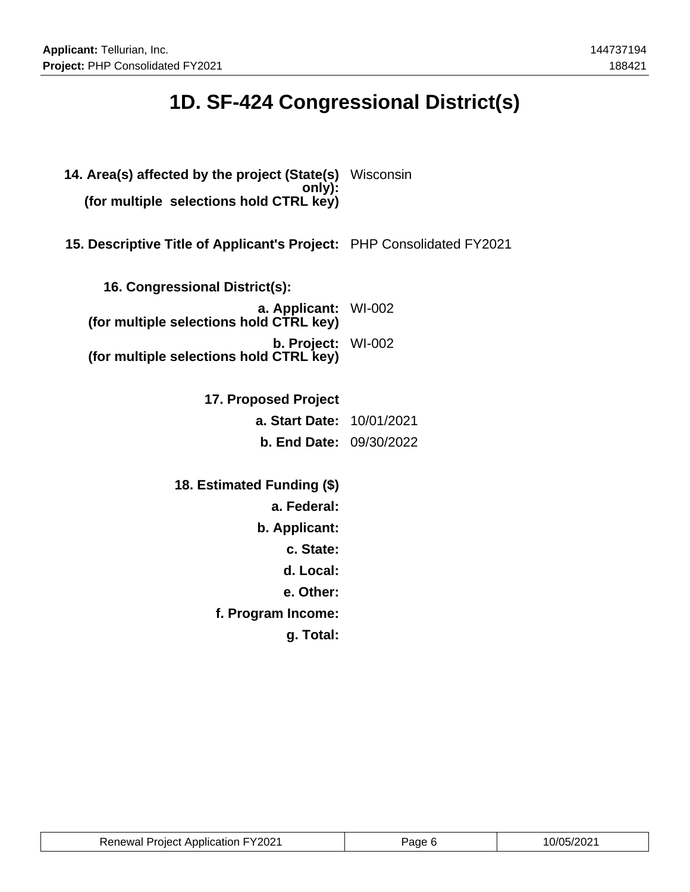# **1D. SF-424 Congressional District(s)**

| 14. Area(s) affected by the project (State(s) Wisconsin<br>only):<br>(for multiple selections hold CTRL key) |  |
|--------------------------------------------------------------------------------------------------------------|--|
| 15. Descriptive Title of Applicant's Project: PHP Consolidated FY2021                                        |  |
| 16. Congressional District(s):                                                                               |  |
| a. Applicant: WI-002<br>(for multiple selections hold CTRL key)                                              |  |
| b. Project: WI-002<br>(for multiple selections hold CTRL key)                                                |  |
|                                                                                                              |  |
| 17. Proposed Project                                                                                         |  |
| a. Start Date: 10/01/2021                                                                                    |  |
| <b>b. End Date: 09/30/2022</b>                                                                               |  |
| 18. Estimated Funding (\$)                                                                                   |  |
| a. Federal:                                                                                                  |  |
| b. Applicant:                                                                                                |  |
| c. State:                                                                                                    |  |
| d. Local:                                                                                                    |  |
| e. Other:                                                                                                    |  |
| f. Program Income:                                                                                           |  |
| g. Total:                                                                                                    |  |
|                                                                                                              |  |

| <b>Renewal Project Application FY2021</b> | Page 6 | 10/05/2021 |
|-------------------------------------------|--------|------------|
|-------------------------------------------|--------|------------|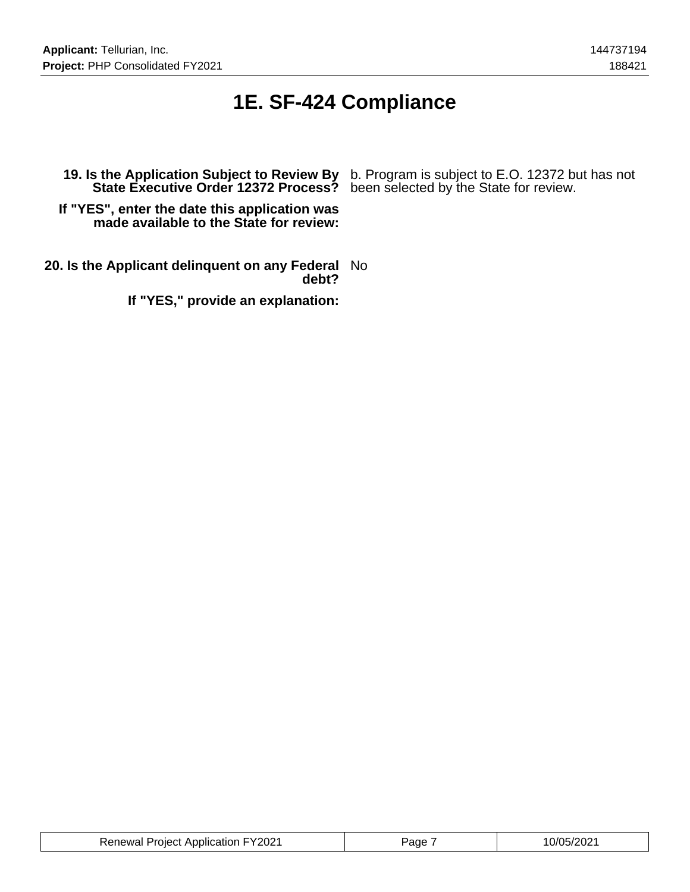## **1E. SF-424 Compliance**

**State Executive Order 12372 Process?** been selected by the State for review.

**19. Is the Application Subject to Review By** b. Program is subject to E.O. 12372 but has not

**If "YES", enter the date this application was made available to the State for review:**

**20. Is the Applicant delinquent on any Federal** No **debt?**

**If "YES," provide an explanation:**

| <b>Renewal Project Application FY2021</b> | Page | 10/05/2021 |
|-------------------------------------------|------|------------|
|-------------------------------------------|------|------------|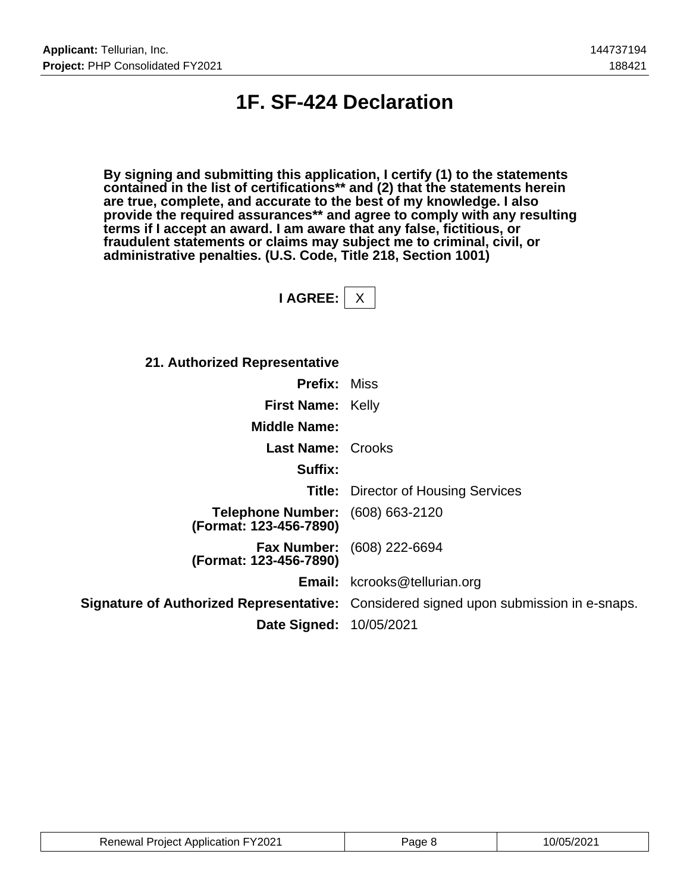## **1F. SF-424 Declaration**

**By signing and submitting this application, I certify (1) to the statements contained in the list of certifications\*\* and (2) that the statements herein are true, complete, and accurate to the best of my knowledge. I also provide the required assurances\*\* and agree to comply with any resulting terms if I accept an award. I am aware that any false, fictitious, or fraudulent statements or claims may subject me to criminal, civil, or administrative penalties. (U.S. Code, Title 218, Section 1001)**

**I AGREE:** X

| 21. Authorized Representative                                     |                                                                                       |
|-------------------------------------------------------------------|---------------------------------------------------------------------------------------|
| <b>Prefix: Miss</b>                                               |                                                                                       |
| <b>First Name: Kelly</b>                                          |                                                                                       |
| <b>Middle Name:</b>                                               |                                                                                       |
| <b>Last Name: Crooks</b>                                          |                                                                                       |
| Suffix:                                                           |                                                                                       |
|                                                                   | <b>Title:</b> Director of Housing Services                                            |
| <b>Telephone Number:</b> (608) 663-2120<br>(Format: 123-456-7890) |                                                                                       |
| (Format: 123-456-7890)                                            | <b>Fax Number:</b> (608) 222-6694                                                     |
|                                                                   | <b>Email:</b> kcrooks@tellurian.org                                                   |
|                                                                   | Signature of Authorized Representative: Considered signed upon submission in e-snaps. |
| <b>Date Signed: 10/05/2021</b>                                    |                                                                                       |

| <b>Renewal Project Application FY2021</b> | aae 8 | 10/05/2021 |
|-------------------------------------------|-------|------------|
|-------------------------------------------|-------|------------|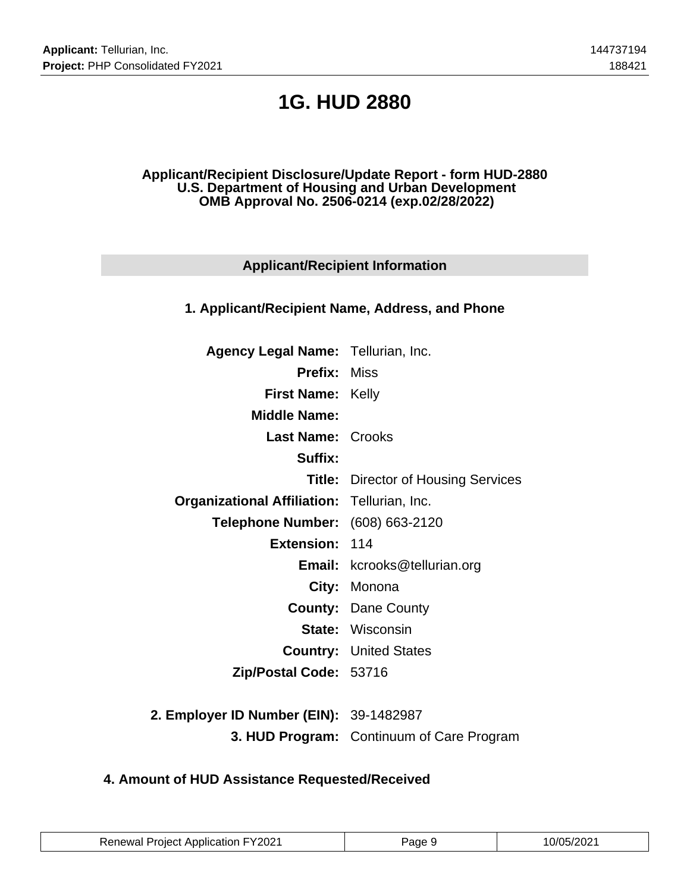# **1G. HUD 2880**

### **Applicant/Recipient Disclosure/Update Report - form HUD-2880 U.S. Department of Housing and Urban Development OMB Approval No. 2506-0214 (exp.02/28/2022)**

## **Applicant/Recipient Information**

### **1. Applicant/Recipient Name, Address, and Phone**

| <b>Agency Legal Name: Tellurian, Inc.</b>          |                                            |
|----------------------------------------------------|--------------------------------------------|
| <b>Prefix: Miss</b>                                |                                            |
| <b>First Name: Kelly</b>                           |                                            |
| <b>Middle Name:</b>                                |                                            |
| <b>Last Name: Crooks</b>                           |                                            |
| Suffix:                                            |                                            |
|                                                    | <b>Title:</b> Director of Housing Services |
| <b>Organizational Affiliation: Tellurian, Inc.</b> |                                            |
| Telephone Number: (608) 663-2120                   |                                            |
| Extension: 114                                     |                                            |
|                                                    | <b>Email:</b> kcrooks@tellurian.org        |
|                                                    | City: Monona                               |
|                                                    | <b>County: Dane County</b>                 |
|                                                    | <b>State: Wisconsin</b>                    |
|                                                    | <b>Country: United States</b>              |
| Zip/Postal Code: 53716                             |                                            |
|                                                    |                                            |

**2. Employer ID Number (EIN):** 39-1482987 **3. HUD Program:** Continuum of Care Program

## **4. Amount of HUD Assistance Requested/Received**

| <b>Renewal Project Application FY2021</b> | Page 9 | 10/05/2021 |
|-------------------------------------------|--------|------------|
|-------------------------------------------|--------|------------|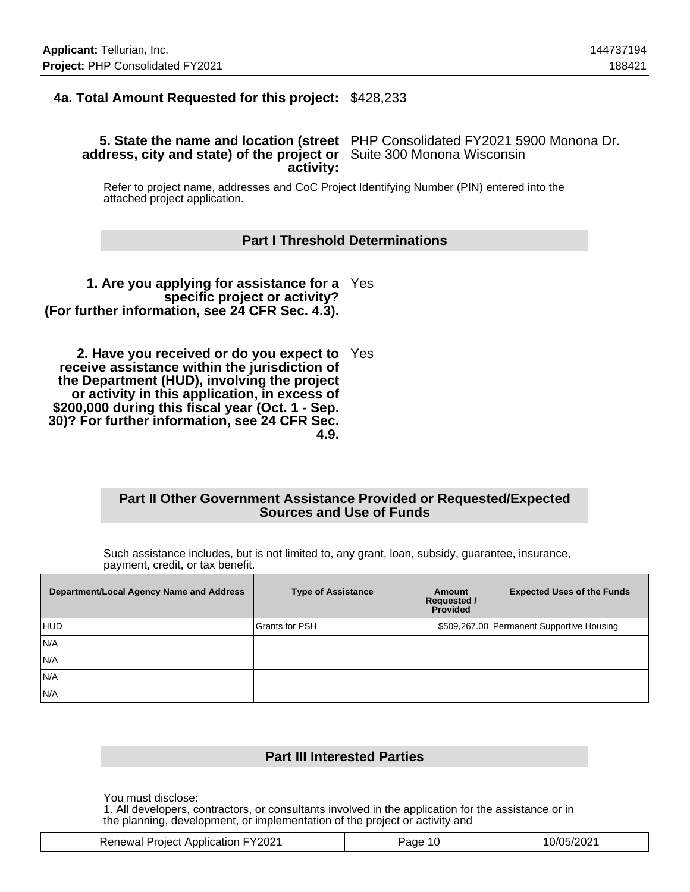## **4a. Total Amount Requested for this project:** \$428,233

#### **5. State the name and location (street** PHP Consolidated FY2021 5900 Monona Dr. **address, city and state) of the project or** Suite 300 Monona Wisconsin **activity:**

Refer to project name, addresses and CoC Project Identifying Number (PIN) entered into the attached project application.

#### **Part I Threshold Determinations**

**1. Are you applying for assistance for a** Yes **specific project or activity? (For further information, see 24 CFR Sec. 4.3).**

**2. Have you received or do you expect to** Yes **receive assistance within the jurisdiction of the Department (HUD), involving the project or activity in this application, in excess of \$200,000 during this fiscal year (Oct. 1 - Sep. 30)? For further information, see 24 CFR Sec. 4.9.**

#### **Part II Other Government Assistance Provided or Requested/Expected Sources and Use of Funds**

Such assistance includes, but is not limited to, any grant, loan, subsidy, guarantee, insurance, payment, credit, or tax benefit.

| Department/Local Agency Name and Address | <b>Type of Assistance</b> | Amount<br><b>Requested /</b><br><b>Provided</b> | <b>Expected Uses of the Funds</b>         |
|------------------------------------------|---------------------------|-------------------------------------------------|-------------------------------------------|
| HUD                                      | <b>Grants for PSH</b>     |                                                 | \$509,267.00 Permanent Supportive Housing |
| N/A                                      |                           |                                                 |                                           |
| N/A                                      |                           |                                                 |                                           |
| N/A                                      |                           |                                                 |                                           |
| N/A                                      |                           |                                                 |                                           |

### **Part III Interested Parties**

You must disclose:

1. All developers, contractors, or consultants involved in the application for the assistance or in the planning, development, or implementation of the project or activity and

|  | <b>Renewal Project Application FY2021</b> | 10<br>aqe | 10/05/2021 |
|--|-------------------------------------------|-----------|------------|
|--|-------------------------------------------|-----------|------------|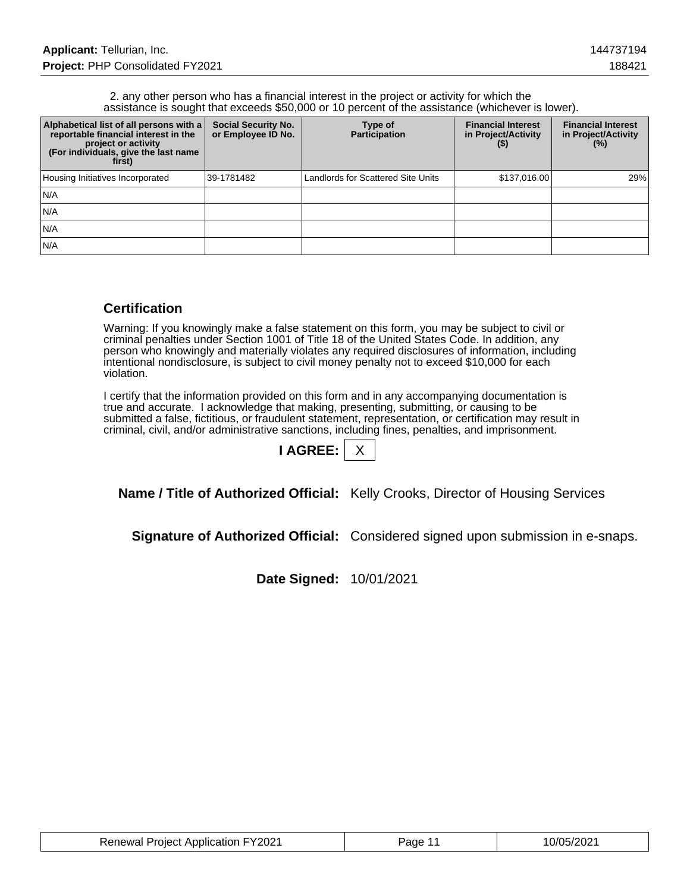#### 2. any other person who has a financial interest in the project or activity for which the assistance is sought that exceeds \$50,000 or 10 percent of the assistance (whichever is lower).

| Alphabetical list of all persons with a<br>reportable financial interest in the<br>project or activity<br>(For individuals, give the last name<br>first) | <b>Social Security No.</b><br>or Employee ID No. | Type of<br><b>Participation</b>    | <b>Financial Interest</b><br>in Project/Activity<br>(5) | <b>Financial Interest</b><br>in Project/Activity<br>(%) |
|----------------------------------------------------------------------------------------------------------------------------------------------------------|--------------------------------------------------|------------------------------------|---------------------------------------------------------|---------------------------------------------------------|
| Housing Initiatives Incorporated                                                                                                                         | 39-1781482                                       | Landlords for Scattered Site Units | \$137,016.00                                            | 29%                                                     |
| IN/A                                                                                                                                                     |                                                  |                                    |                                                         |                                                         |
| IN/A                                                                                                                                                     |                                                  |                                    |                                                         |                                                         |
| IN/A                                                                                                                                                     |                                                  |                                    |                                                         |                                                         |
| IN/A                                                                                                                                                     |                                                  |                                    |                                                         |                                                         |

## **Certification**

Warning: If you knowingly make a false statement on this form, you may be subject to civil or criminal penalties under Section 1001 of Title 18 of the United States Code. In addition, any person who knowingly and materially violates any required disclosures of information, including intentional nondisclosure, is subject to civil money penalty not to exceed \$10,000 for each violation.

I certify that the information provided on this form and in any accompanying documentation is true and accurate. I acknowledge that making, presenting, submitting, or causing to be submitted a false, fictitious, or fraudulent statement, representation, or certification may result in criminal, civil, and/or administrative sanctions, including fines, penalties, and imprisonment.

| <b>AGREE:</b> |  |
|---------------|--|
|               |  |

**Name / Title of Authorized Official:** Kelly Crooks, Director of Housing Services

**Signature of Authorized Official:** Considered signed upon submission in e-snaps.

**Date Signed:** 10/01/2021

| <b>Renewal Project Application FY2021</b> | Page 11 | 10/05/2021 |
|-------------------------------------------|---------|------------|
|-------------------------------------------|---------|------------|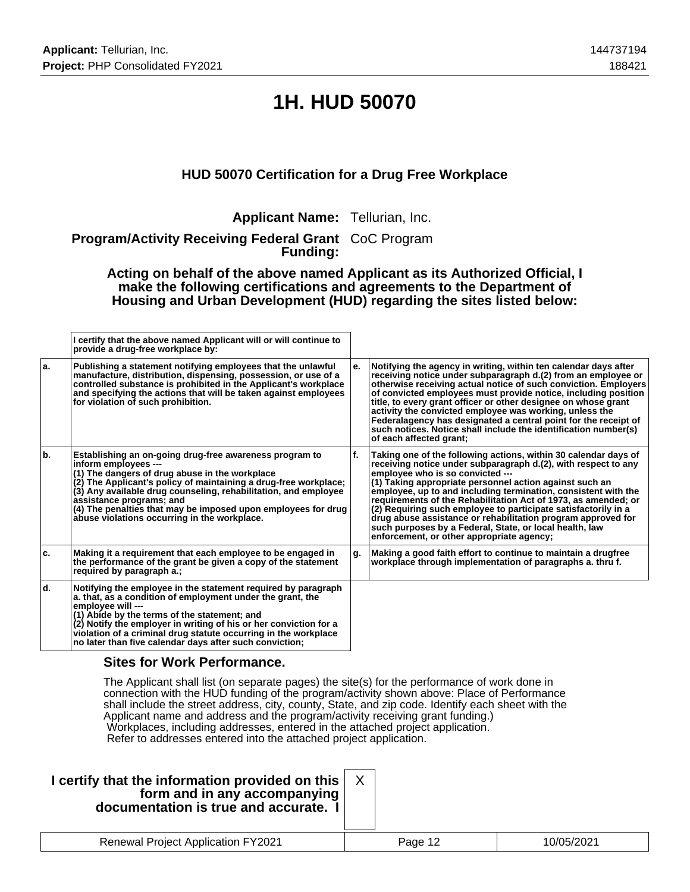# **1H. HUD 50070**

## **HUD 50070 Certification for a Drug Free Workplace**

**Applicant Name:** Tellurian, Inc.

**Program/Activity Receiving Federal Grant** CoC Program **Funding:**

**Acting on behalf of the above named Applicant as its Authorized Official, I make the following certifications and agreements to the Department of Housing and Urban Development (HUD) regarding the sites listed below:**

|     | I certify that the above named Applicant will or will continue to<br>provide a drug-free workplace by:                                                                                                                                                                                                                                                                                                                |    |                                                                                                                                                                                                                                                                                                                                                                                                                                                                                                                                                                                                                |
|-----|-----------------------------------------------------------------------------------------------------------------------------------------------------------------------------------------------------------------------------------------------------------------------------------------------------------------------------------------------------------------------------------------------------------------------|----|----------------------------------------------------------------------------------------------------------------------------------------------------------------------------------------------------------------------------------------------------------------------------------------------------------------------------------------------------------------------------------------------------------------------------------------------------------------------------------------------------------------------------------------------------------------------------------------------------------------|
| ۱a. | Publishing a statement notifying employees that the unlawful<br>manufacture, distribution, dispensing, possession, or use of a<br>controlled substance is prohibited in the Applicant's workplace<br>and specifying the actions that will be taken against employees<br>for violation of such prohibition.                                                                                                            | е. | Notifying the agency in writing, within ten calendar days after<br>receiving notice under subparagraph d.(2) from an employee or<br>otherwise receiving actual notice of such conviction. Employers<br>of convicted employees must provide notice, including position<br>title, to every grant officer or other designee on whose grant<br>activity the convicted employee was working, unless the<br>Federalagency has designated a central point for the receipt of<br>such notices. Notice shall include the identification number(s)<br>of each affected grant:                                            |
| ١b. | Establishing an on-going drug-free awareness program to<br>inform employees ---<br>(1) The dangers of drug abuse in the workplace<br>(2) The Applicant's policy of maintaining a drug-free workplace;<br>(3) Any available drug counseling, rehabilitation, and employee<br>assistance programs; and<br>(4) The penalties that may be imposed upon employees for drug<br>abuse violations occurring in the workplace. | f. | Taking one of the following actions, within 30 calendar days of<br>receiving notice under subparagraph d.(2), with respect to any<br>employee who is so convicted ---<br>(1) Taking appropriate personnel action against such an<br>employee, up to and including termination, consistent with the<br>requirements of the Rehabilitation Act of 1973, as amended; or<br>(2) Requiring such employee to participate satisfactorily in a<br>drug abuse assistance or rehabilitation program approved for<br>such purposes by a Federal, State, or local health, law<br>enforcement, or other appropriate agency; |
| ۱c. | Making it a requirement that each employee to be engaged in<br>the performance of the grant be given a copy of the statement<br>required by paragraph a.;                                                                                                                                                                                                                                                             | g. | Making a good faith effort to continue to maintain a drugfree<br>workplace through implementation of paragraphs a. thru f.                                                                                                                                                                                                                                                                                                                                                                                                                                                                                     |
| ld. | Notifying the employee in the statement required by paragraph<br>a. that, as a condition of employment under the grant, the<br>employee will ---<br>(1) Abide by the terms of the statement; and<br>(2) Notify the employer in writing of his or her conviction for a<br>violation of a criminal drug statute occurring in the workplace<br>no later than five calendar days after such conviction;                   |    |                                                                                                                                                                                                                                                                                                                                                                                                                                                                                                                                                                                                                |

### **Sites for Work Performance.**

The Applicant shall list (on separate pages) the site(s) for the performance of work done in connection with the HUD funding of the program/activity shown above: Place of Performance shall include the street address, city, county, State, and zip code. Identify each sheet with the Applicant name and address and the program/activity receiving grant funding.) Workplaces, including addresses, entered in the attached project application. Refer to addresses entered into the attached project application.

| I certify that the information provided on this $ $<br>form and in any accompanying<br>documentation is true and accurate. I |         |            |
|------------------------------------------------------------------------------------------------------------------------------|---------|------------|
| <b>Renewal Project Application FY2021</b>                                                                                    | Page 12 | 10/05/2021 |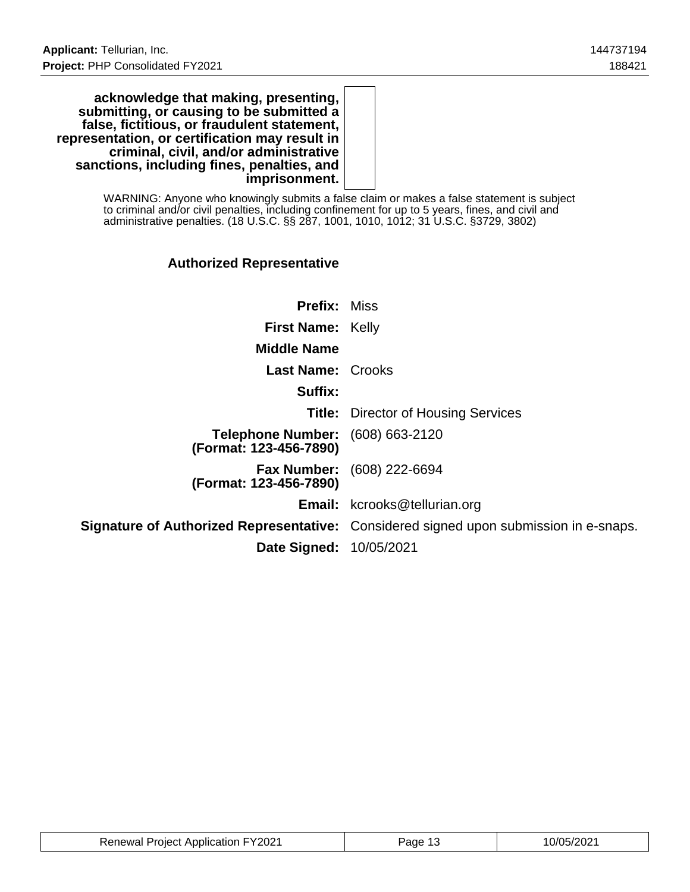**acknowledge that making, presenting, submitting, or causing to be submitted a false, fictitious, or fraudulent statement, representation, or certification may result in criminal, civil, and/or administrative sanctions, including fines, penalties, and imprisonment.**

> WARNING: Anyone who knowingly submits a false claim or makes a false statement is subject to criminal and/or civil penalties, including confinement for up to 5 years, fines, and civil and administrative penalties. (18 U.S.C. §§ 287, 1001, 1010, 1012; 31 U.S.C. §3729, 3802)

## **Authorized Representative**

| <b>Prefix: Miss</b>                                               |                                                                                              |
|-------------------------------------------------------------------|----------------------------------------------------------------------------------------------|
| <b>First Name: Kelly</b>                                          |                                                                                              |
| <b>Middle Name</b>                                                |                                                                                              |
| <b>Last Name: Crooks</b>                                          |                                                                                              |
| Suffix:                                                           |                                                                                              |
|                                                                   | <b>Title:</b> Director of Housing Services                                                   |
| <b>Telephone Number:</b> (608) 663-2120<br>(Format: 123-456-7890) |                                                                                              |
| (Format: 123-456-7890)                                            | <b>Fax Number:</b> (608) 222-6694                                                            |
|                                                                   | <b>Email:</b> kcrooks@tellurian.org                                                          |
|                                                                   | <b>Signature of Authorized Representative:</b> Considered signed upon submission in e-snaps. |
| <b>Date Signed: 10/05/2021</b>                                    |                                                                                              |

| <b>Renewal Project Application FY2021</b> | Page | 10/05/2021 |
|-------------------------------------------|------|------------|
|-------------------------------------------|------|------------|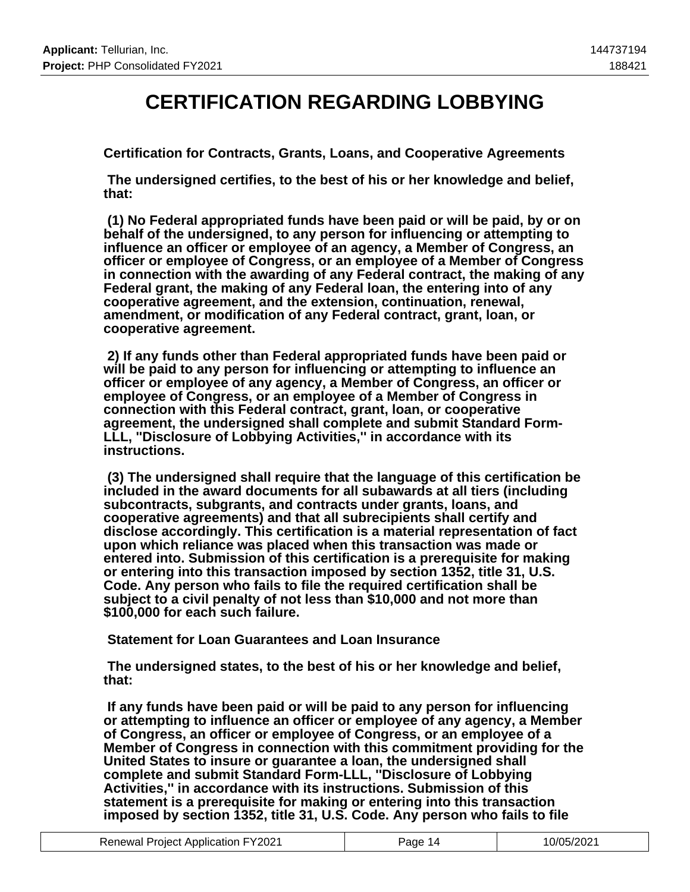## **CERTIFICATION REGARDING LOBBYING**

**Certification for Contracts, Grants, Loans, and Cooperative Agreements**

 **The undersigned certifies, to the best of his or her knowledge and belief, that:**

 **(1) No Federal appropriated funds have been paid or will be paid, by or on behalf of the undersigned, to any person for influencing or attempting to influence an officer or employee of an agency, a Member of Congress, an officer or employee of Congress, or an employee of a Member of Congress in connection with the awarding of any Federal contract, the making of any Federal grant, the making of any Federal loan, the entering into of any cooperative agreement, and the extension, continuation, renewal, amendment, or modification of any Federal contract, grant, loan, or cooperative agreement.**

 **2) If any funds other than Federal appropriated funds have been paid or will be paid to any person for influencing or attempting to influence an officer or employee of any agency, a Member of Congress, an officer or employee of Congress, or an employee of a Member of Congress in connection with this Federal contract, grant, loan, or cooperative agreement, the undersigned shall complete and submit Standard Form-LLL, ''Disclosure of Lobbying Activities,'' in accordance with its instructions.**

 **(3) The undersigned shall require that the language of this certification be included in the award documents for all subawards at all tiers (including subcontracts, subgrants, and contracts under grants, loans, and cooperative agreements) and that all subrecipients shall certify and disclose accordingly. This certification is a material representation of fact upon which reliance was placed when this transaction was made or entered into. Submission of this certification is a prerequisite for making or entering into this transaction imposed by section 1352, title 31, U.S. Code. Any person who fails to file the required certification shall be subject to a civil penalty of not less than \$10,000 and not more than \$100,000 for each such failure.**

 **Statement for Loan Guarantees and Loan Insurance**

 **The undersigned states, to the best of his or her knowledge and belief, that:**

 **If any funds have been paid or will be paid to any person for influencing or attempting to influence an officer or employee of any agency, a Member of Congress, an officer or employee of Congress, or an employee of a Member of Congress in connection with this commitment providing for the United States to insure or guarantee a loan, the undersigned shall complete and submit Standard Form-LLL, ''Disclosure of Lobbying Activities,'' in accordance with its instructions. Submission of this statement is a prerequisite for making or entering into this transaction imposed by section 1352, title 31, U.S. Code. Any person who fails to file**

| <b>Renewal Project Application FY2021</b> | Page 14 | 10/05/2021 |
|-------------------------------------------|---------|------------|
|-------------------------------------------|---------|------------|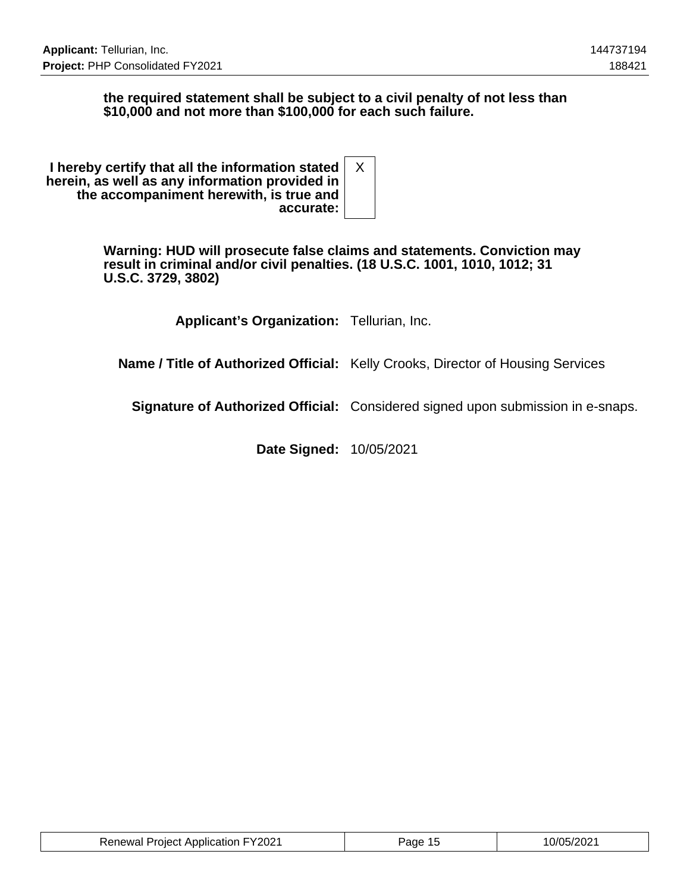### **the required statement shall be subject to a civil penalty of not less than \$10,000 and not more than \$100,000 for each such failure.**

| I hereby certify that all the information stated<br>herein, as well as any information provided in<br>the accompaniment herewith, is true and |  |
|-----------------------------------------------------------------------------------------------------------------------------------------------|--|
| accurate:                                                                                                                                     |  |

**Warning: HUD will prosecute false claims and statements. Conviction may result in criminal and/or civil penalties. (18 U.S.C. 1001, 1010, 1012; 31 U.S.C. 3729, 3802)**

**Applicant's Organization:** Tellurian, Inc.

**Name / Title of Authorized Official:** Kelly Crooks, Director of Housing Services

**Signature of Authorized Official:** Considered signed upon submission in e-snaps.

**Date Signed:** 10/05/2021

| <b>Renewal Project Application FY2021</b> | Page 15 | 10/05/2021 |
|-------------------------------------------|---------|------------|
|-------------------------------------------|---------|------------|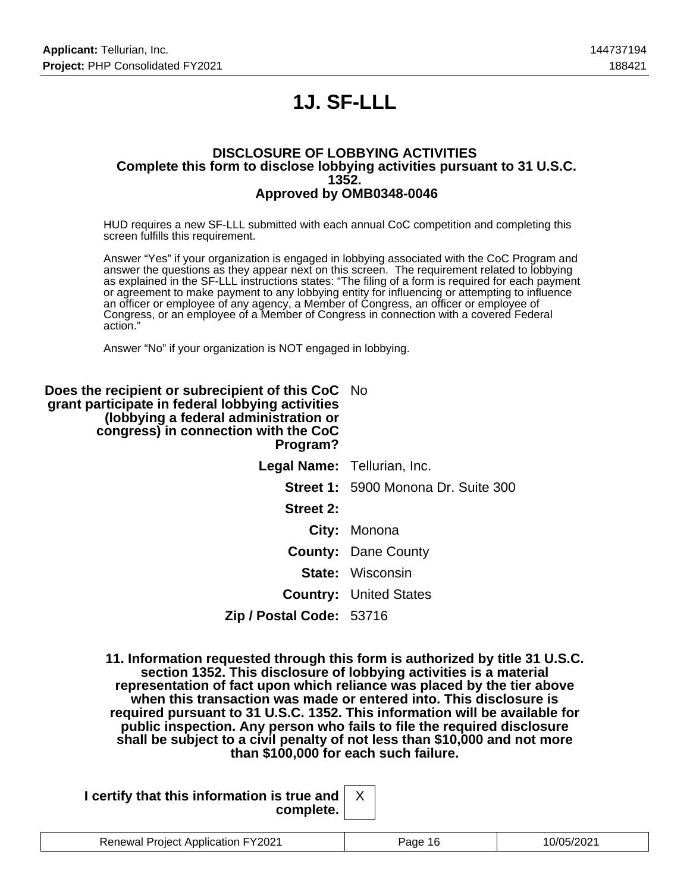# **1J. SF-LLL**

#### **DISCLOSURE OF LOBBYING ACTIVITIES Complete this form to disclose lobbying activities pursuant to 31 U.S.C. 1352. Approved by OMB0348-0046**

HUD requires a new SF-LLL submitted with each annual CoC competition and completing this screen fulfills this requirement.

Answer "Yes" if your organization is engaged in lobbying associated with the CoC Program and answer the questions as they appear next on this screen. The requirement related to lobbying as explained in the SF-LLL instructions states: "The filing of a form is required for each payment or agreement to make payment to any lobbying entity for influencing or attempting to influence an officer or employee of any agency, a Member of Congress, an officer or employee of Congress, or an employee of a Member of Congress in connection with a covered Federal action."

Answer "No" if your organization is NOT engaged in lobbying.

| <b>Does the recipient or subrecipient of this CoC</b> No<br>grant participate in federal lobbying activities<br>(lobbying a federal administration or<br>congress) in connection with the CoC<br>Program? |                                            |
|-----------------------------------------------------------------------------------------------------------------------------------------------------------------------------------------------------------|--------------------------------------------|
| Legal Name: Tellurian, Inc.                                                                                                                                                                               |                                            |
|                                                                                                                                                                                                           | <b>Street 1: 5900 Monona Dr. Suite 300</b> |
| Street 2:                                                                                                                                                                                                 |                                            |
|                                                                                                                                                                                                           | City: Monona                               |
|                                                                                                                                                                                                           | <b>County: Dane County</b>                 |
|                                                                                                                                                                                                           | <b>State: Wisconsin</b>                    |
|                                                                                                                                                                                                           | <b>Country: United States</b>              |
| Zip / Postal Code: 53716                                                                                                                                                                                  |                                            |

**11. Information requested through this form is authorized by title 31 U.S.C. section 1352. This disclosure of lobbying activities is a material representation of fact upon which reliance was placed by the tier above when this transaction was made or entered into. This disclosure is required pursuant to 31 U.S.C. 1352. This information will be available for public inspection. Any person who fails to file the required disclosure shall be subject to a civil penalty of not less than \$10,000 and not more than \$100,000 for each such failure.**

| I certify that this information is true and $\vert$ |  |
|-----------------------------------------------------|--|
| complete.                                           |  |

| <b>Renewal Project Application FY2021</b> | ≀ane |  |
|-------------------------------------------|------|--|

X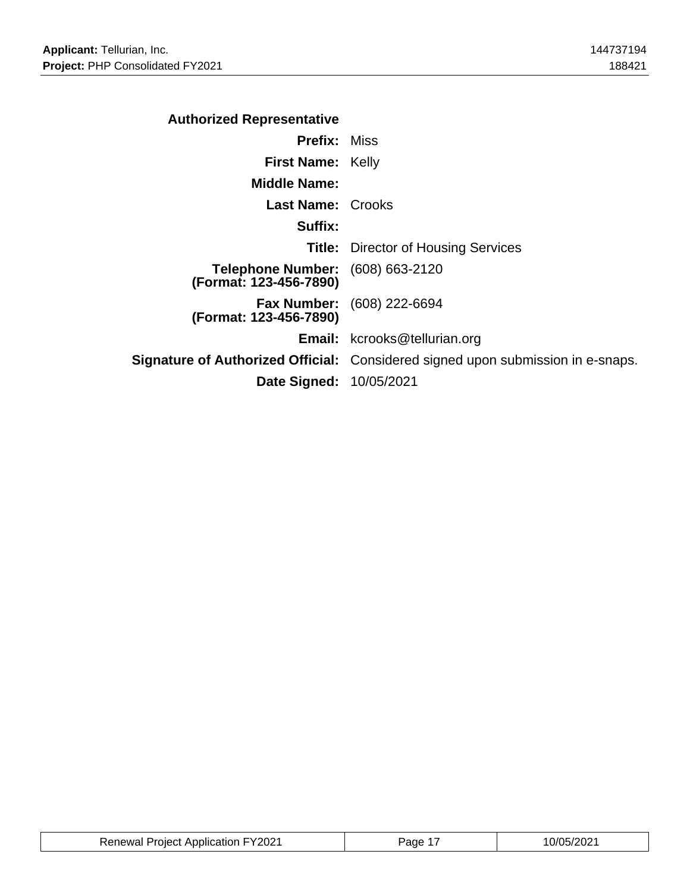| <b>Authorized Representative</b>                           |                                                                                        |
|------------------------------------------------------------|----------------------------------------------------------------------------------------|
| <b>Prefix: Miss</b>                                        |                                                                                        |
| <b>First Name: Kelly</b>                                   |                                                                                        |
| <b>Middle Name:</b>                                        |                                                                                        |
| <b>Last Name: Crooks</b>                                   |                                                                                        |
| Suffix:                                                    |                                                                                        |
|                                                            | <b>Title:</b> Director of Housing Services                                             |
| Telephone Number: (608) 663-2120<br>(Format: 123-456-7890) |                                                                                        |
| (Format: 123-456-7890)                                     | <b>Fax Number:</b> (608) 222-6694                                                      |
|                                                            | <b>Email:</b> kcrooks@tellurian.org                                                    |
|                                                            | <b>Signature of Authorized Official:</b> Considered signed upon submission in e-snaps. |
| <b>Date Signed: 10/05/2021</b>                             |                                                                                        |

| <b>Renewal Project Application FY2021</b> | Page | 0/05/2021 |
|-------------------------------------------|------|-----------|
|-------------------------------------------|------|-----------|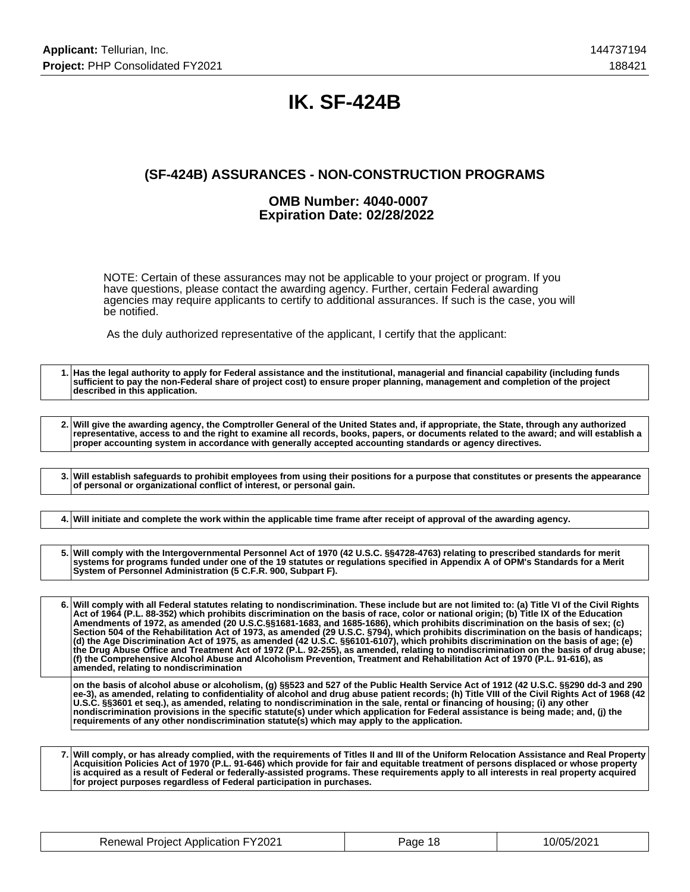## **IK. SF-424B**

## **(SF-424B) ASSURANCES - NON-CONSTRUCTION PROGRAMS**

#### **OMB Number: 4040-0007 Expiration Date: 02/28/2022**

NOTE: Certain of these assurances may not be applicable to your project or program. If you have questions, please contact the awarding agency. Further, certain Federal awarding agencies may require applicants to certify to additional assurances. If such is the case, you will be notified.

As the duly authorized representative of the applicant, I certify that the applicant:

**1. Has the legal authority to apply for Federal assistance and the institutional, managerial and financial capability (including funds sufficient to pay the non-Federal share of project cost) to ensure proper planning, management and completion of the project described in this application. 2. Will give the awarding agency, the Comptroller General of the United States and, if appropriate, the State, through any authorized representative, access to and the right to examine all records, books, papers, or documents related to the award; and will establish a proper accounting system in accordance with generally accepted accounting standards or agency directives. 3. Will establish safeguards to prohibit employees from using their positions for a purpose that constitutes or presents the appearance of personal or organizational conflict of interest, or personal gain. 4. Will initiate and complete the work within the applicable time frame after receipt of approval of the awarding agency. 5. Will comply with the Intergovernmental Personnel Act of 1970 (42 U.S.C. §§4728-4763) relating to prescribed standards for merit systems for programs funded under one of the 19 statutes or regulations specified in Appendix A of OPM's Standards for a Merit System of Personnel Administration (5 C.F.R. 900, Subpart F). 6. Will comply with all Federal statutes relating to nondiscrimination. These include but are not limited to: (a) Title VI of the Civil Rights Act of 1964 (P.L. 88-352) which prohibits discrimination on the basis of race, color or national origin; (b) Title IX of the Education Amendments of 1972, as amended (20 U.S.C.§§1681-1683, and 1685-1686), which prohibits discrimination on the basis of sex; (c) Section 504 of the Rehabilitation Act of 1973, as amended (29 U.S.C. §794), which prohibits discrimination on the basis of handicaps; (d) the Age Discrimination Act of 1975, as amended (42 U.S.C. §§6101-6107), which prohibits discrimination on the basis of age; (e) the Drug Abuse Office and Treatment Act of 1972 (P.L. 92-255), as amended, relating to nondiscrimination on the basis of drug abuse; (f) the Comprehensive Alcohol Abuse and Alcoholism Prevention, Treatment and Rehabilitation Act of 1970 (P.L. 91-616), as amended, relating to nondiscrimination on the basis of alcohol abuse or alcoholism, (g) §§523 and 527 of the Public Health Service Act of 1912 (42 U.S.C. §§290 dd-3 and 290 ee-3), as amended, relating to confidentiality of alcohol and drug abuse patient records; (h) Title VIII of the Civil Rights Act of 1968 (42 U.S.C. §§3601 et seq.), as amended, relating to nondiscrimination in the sale, rental or financing of housing; (i) any other nondiscrimination provisions in the specific statute(s) under which application for Federal assistance is being made; and, (j) the requirements of any other nondiscrimination statute(s) which may apply to the application.**

**7. Will comply, or has already complied, with the requirements of Titles II and III of the Uniform Relocation Assistance and Real Property Acquisition Policies Act of 1970 (P.L. 91-646) which provide for fair and equitable treatment of persons displaced or whose property is acquired as a result of Federal or federally-assisted programs. These requirements apply to all interests in real property acquired for project purposes regardless of Federal participation in purchases.**

| <b>Renewal Project Application FY2021</b> | Page 18 | 10/05/2021 |
|-------------------------------------------|---------|------------|
|-------------------------------------------|---------|------------|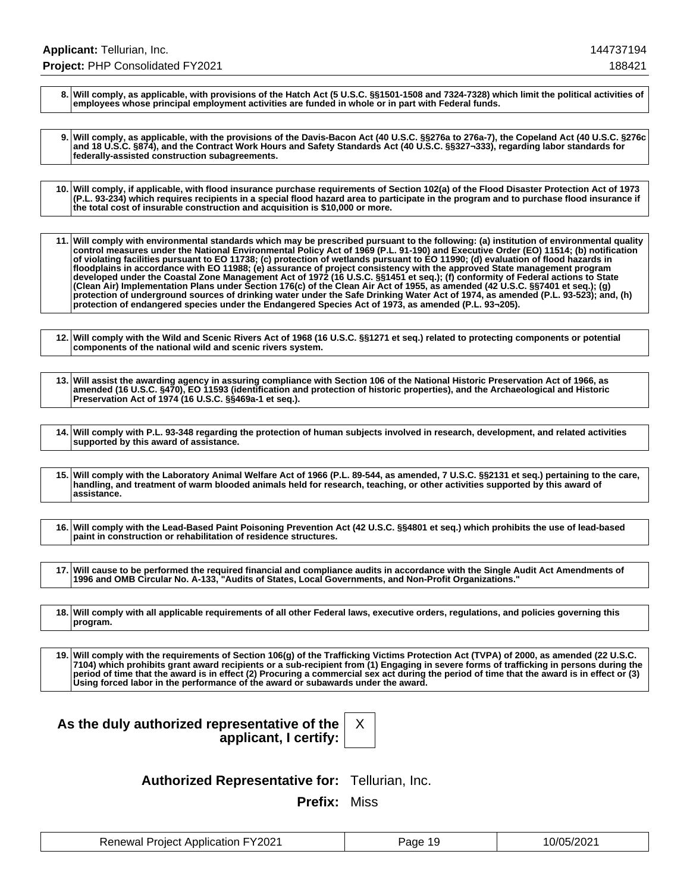**8. Will comply, as applicable, with provisions of the Hatch Act (5 U.S.C. §§1501-1508 and 7324-7328) which limit the political activities of employees whose principal employment activities are funded in whole or in part with Federal funds.**

**9. Will comply, as applicable, with the provisions of the Davis-Bacon Act (40 U.S.C. §§276a to 276a-7), the Copeland Act (40 U.S.C. §276c and 18 U.S.C. §874), and the Contract Work Hours and Safety Standards Act (40 U.S.C. §§327¬333), regarding labor standards for federally-assisted construction subagreements.**

**10. Will comply, if applicable, with flood insurance purchase requirements of Section 102(a) of the Flood Disaster Protection Act of 1973 (P.L. 93-234) which requires recipients in a special flood hazard area to participate in the program and to purchase flood insurance if the total cost of insurable construction and acquisition is \$10,000 or more.**

**11. Will comply with environmental standards which may be prescribed pursuant to the following: (a) institution of environmental quality control measures under the National Environmental Policy Act of 1969 (P.L. 91-190) and Executive Order (EO) 11514; (b) notification of violating facilities pursuant to EO 11738; (c) protection of wetlands pursuant to EO 11990; (d) evaluation of flood hazards in floodplains in accordance with EO 11988; (e) assurance of project consistency with the approved State management program developed under the Coastal Zone Management Act of 1972 (16 U.S.C. §§1451 et seq.); (f) conformity of Federal actions to State (Clean Air) Implementation Plans under Section 176(c) of the Clean Air Act of 1955, as amended (42 U.S.C. §§7401 et seq.); (g) protection of underground sources of drinking water under the Safe Drinking Water Act of 1974, as amended (P.L. 93-523); and, (h) protection of endangered species under the Endangered Species Act of 1973, as amended (P.L. 93¬205).**

**12. Will comply with the Wild and Scenic Rivers Act of 1968 (16 U.S.C. §§1271 et seq.) related to protecting components or potential components of the national wild and scenic rivers system.**

**13. Will assist the awarding agency in assuring compliance with Section 106 of the National Historic Preservation Act of 1966, as amended (16 U.S.C. §470), EO 11593 (identification and protection of historic properties), and the Archaeological and Historic Preservation Act of 1974 (16 U.S.C. §§469a-1 et seq.).**

**14. Will comply with P.L. 93-348 regarding the protection of human subjects involved in research, development, and related activities supported by this award of assistance.**

**15. Will comply with the Laboratory Animal Welfare Act of 1966 (P.L. 89-544, as amended, 7 U.S.C. §§2131 et seq.) pertaining to the care, handling, and treatment of warm blooded animals held for research, teaching, or other activities supported by this award of assistance.**

**16. Will comply with the Lead-Based Paint Poisoning Prevention Act (42 U.S.C. §§4801 et seq.) which prohibits the use of lead-based paint in construction or rehabilitation of residence structures.**

**17. Will cause to be performed the required financial and compliance audits in accordance with the Single Audit Act Amendments of 1996 and OMB Circular No. A-133, "Audits of States, Local Governments, and Non-Profit Organizations."**

**18. Will comply with all applicable requirements of all other Federal laws, executive orders, regulations, and policies governing this program.**

**19. Will comply with the requirements of Section 106(g) of the Trafficking Victims Protection Act (TVPA) of 2000, as amended (22 U.S.C. 7104) which prohibits grant award recipients or a sub-recipient from (1) Engaging in severe forms of trafficking in persons during the period of time that the award is in effect (2) Procuring a commercial sex act during the period of time that the award is in effect or (3) Using forced labor in the performance of the award or subawards under the award.**

## **As the duly authorized representative of the applicant, I certify:**

X

**Authorized Representative for:** Tellurian, Inc.

**Prefix:** Miss

| <b>Renewal Project Application FY2021</b> | Page 19 | 10/05/2021 |
|-------------------------------------------|---------|------------|
|-------------------------------------------|---------|------------|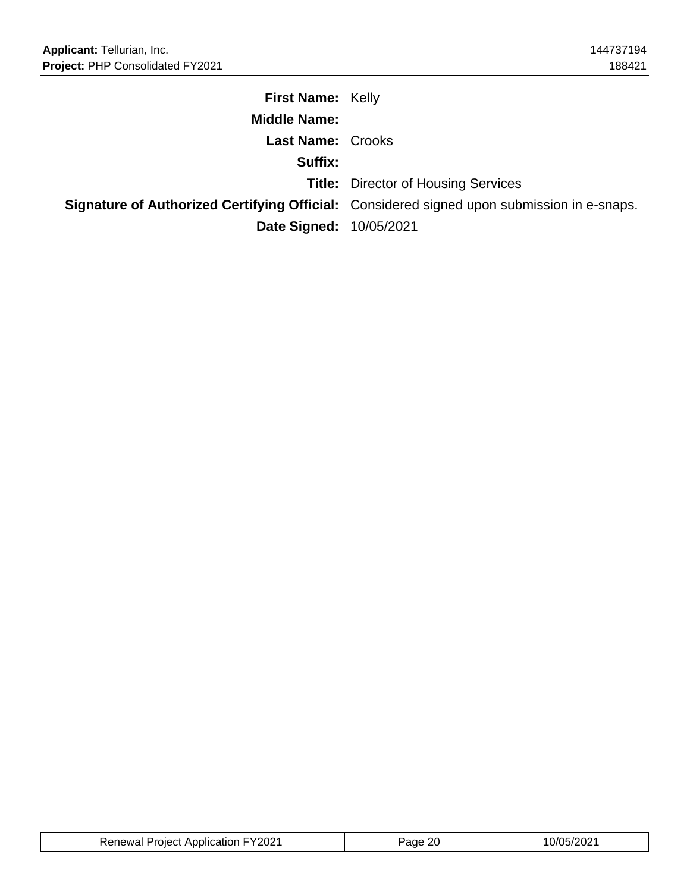| <b>First Name: Kelly</b>       |                                                                                                   |
|--------------------------------|---------------------------------------------------------------------------------------------------|
| <b>Middle Name:</b>            |                                                                                                   |
| <b>Last Name: Crooks</b>       |                                                                                                   |
| Suffix:                        |                                                                                                   |
|                                | <b>Title:</b> Director of Housing Services                                                        |
|                                | <b>Signature of Authorized Certifying Official:</b> Considered signed upon submission in e-snaps. |
| <b>Date Signed: 10/05/2021</b> |                                                                                                   |

| <b>Renewal Project Application FY2021</b> | റ<br>'ane | 0/05/2021 |
|-------------------------------------------|-----------|-----------|
|-------------------------------------------|-----------|-----------|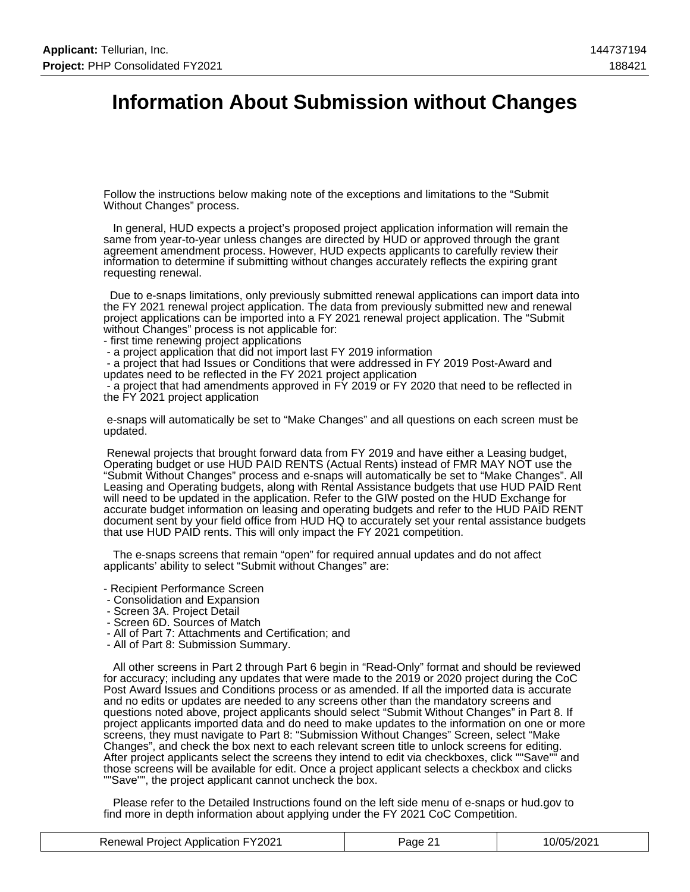## **Information About Submission without Changes**

Follow the instructions below making note of the exceptions and limitations to the "Submit Without Changes" process.

 In general, HUD expects a project's proposed project application information will remain the same from year-to-year unless changes are directed by HUD or approved through the grant agreement amendment process. However, HUD expects applicants to carefully review their information to determine if submitting without changes accurately reflects the expiring grant requesting renewal.

 Due to e-snaps limitations, only previously submitted renewal applications can import data into the FY 2021 renewal project application. The data from previously submitted new and renewal project applications can be imported into a FY 2021 renewal project application. The "Submit without Changes" process is not applicable for:

- first time renewing project applications
- a project application that did not import last FY 2019 information

 - a project that had Issues or Conditions that were addressed in FY 2019 Post-Award and updates need to be reflected in the FY 2021 project application

 - a project that had amendments approved in FY 2019 or FY 2020 that need to be reflected in the FY 2021 project application

 e-snaps will automatically be set to "Make Changes" and all questions on each screen must be updated.

 Renewal projects that brought forward data from FY 2019 and have either a Leasing budget, Operating budget or use HUD PAID RENTS (Actual Rents) instead of FMR MAY NOT use the "Submit Without Changes" process and e-snaps will automatically be set to "Make Changes". All Leasing and Operating budgets, along with Rental Assistance budgets that use HUD PAID Rent will need to be updated in the application. Refer to the GIW posted on the HUD Exchange for accurate budget information on leasing and operating budgets and refer to the HUD PAID RENT document sent by your field office from HUD HQ to accurately set your rental assistance budgets that use HUD PAID rents. This will only impact the FY 2021 competition.

 The e-snaps screens that remain "open" for required annual updates and do not affect applicants' ability to select "Submit without Changes" are:

- Recipient Performance Screen
- Consolidation and Expansion
- Screen 3A. Project Detail
- Screen 6D. Sources of Match
- All of Part 7: Attachments and Certification; and
- All of Part 8: Submission Summary.

 All other screens in Part 2 through Part 6 begin in "Read-Only" format and should be reviewed for accuracy; including any updates that were made to the 2019 or 2020 project during the CoC Post Award Issues and Conditions process or as amended. If all the imported data is accurate and no edits or updates are needed to any screens other than the mandatory screens and questions noted above, project applicants should select "Submit Without Changes" in Part 8. If project applicants imported data and do need to make updates to the information on one or more screens, they must navigate to Part 8: "Submission Without Changes" Screen, select "Make Changes", and check the box next to each relevant screen title to unlock screens for editing. After project applicants select the screens they intend to edit via checkboxes, click ""Save"" and those screens will be available for edit. Once a project applicant selects a checkbox and clicks ""Save"", the project applicant cannot uncheck the box.

 Please refer to the Detailed Instructions found on the left side menu of e-snaps or hud.gov to find more in depth information about applying under the FY 2021 CoC Competition.

| <b>Renewal Project Application FY2021</b> | Page 21 | 10/05/2021 |
|-------------------------------------------|---------|------------|
|-------------------------------------------|---------|------------|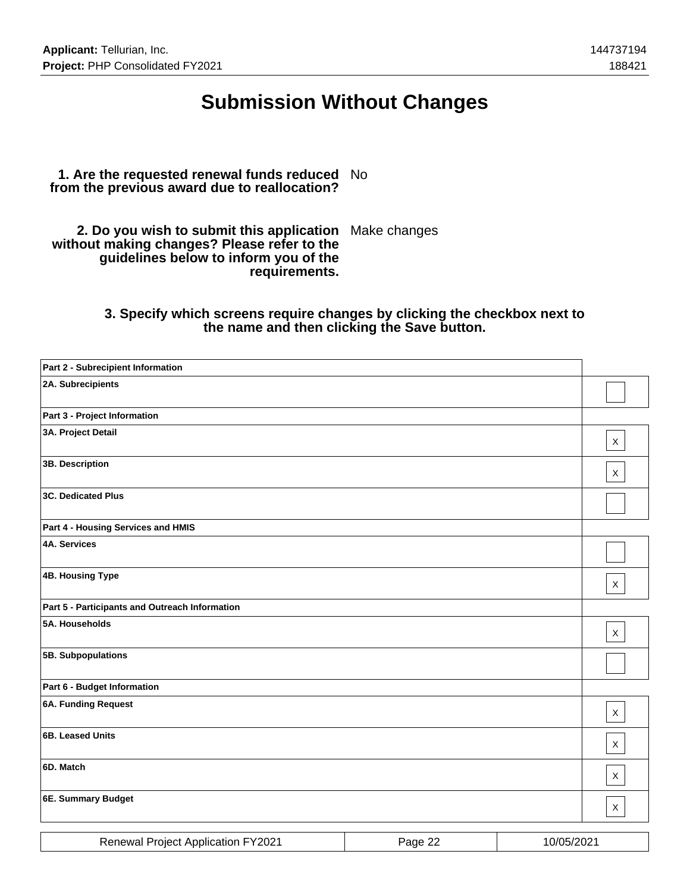## **Submission Without Changes**

#### **1. Are the requested renewal funds reduced** No **from the previous award due to reallocation?**

**2. Do you wish to submit this application** Make changes **without making changes? Please refer to the guidelines below to inform you of the requirements.**

### **3. Specify which screens require changes by clicking the checkbox next to the name and then clicking the Save button.**

| Part 2 - Subrecipient Information              |         |            |              |
|------------------------------------------------|---------|------------|--------------|
| 2A. Subrecipients                              |         |            |              |
| Part 3 - Project Information                   |         |            |              |
| 3A. Project Detail                             |         |            | $\mathsf X$  |
| 3B. Description                                |         |            | $\times$     |
| <b>3C. Dedicated Plus</b>                      |         |            |              |
| Part 4 - Housing Services and HMIS             |         |            |              |
| <b>4A. Services</b>                            |         |            |              |
| <b>4B. Housing Type</b>                        |         |            | $\mathsf{X}$ |
| Part 5 - Participants and Outreach Information |         |            |              |
| 5A. Households                                 |         |            | $\mathsf{X}$ |
| 5B. Subpopulations                             |         |            |              |
| Part 6 - Budget Information                    |         |            |              |
| <b>6A. Funding Request</b>                     |         |            | $\mathsf{X}$ |
| 6B. Leased Units                               |         |            | $\mathsf{X}$ |
| 6D. Match                                      |         |            | $\mathsf{X}$ |
| 6E. Summary Budget                             |         |            | $\mathsf{X}$ |
| <b>Renewal Project Application FY2021</b>      | Page 22 | 10/05/2021 |              |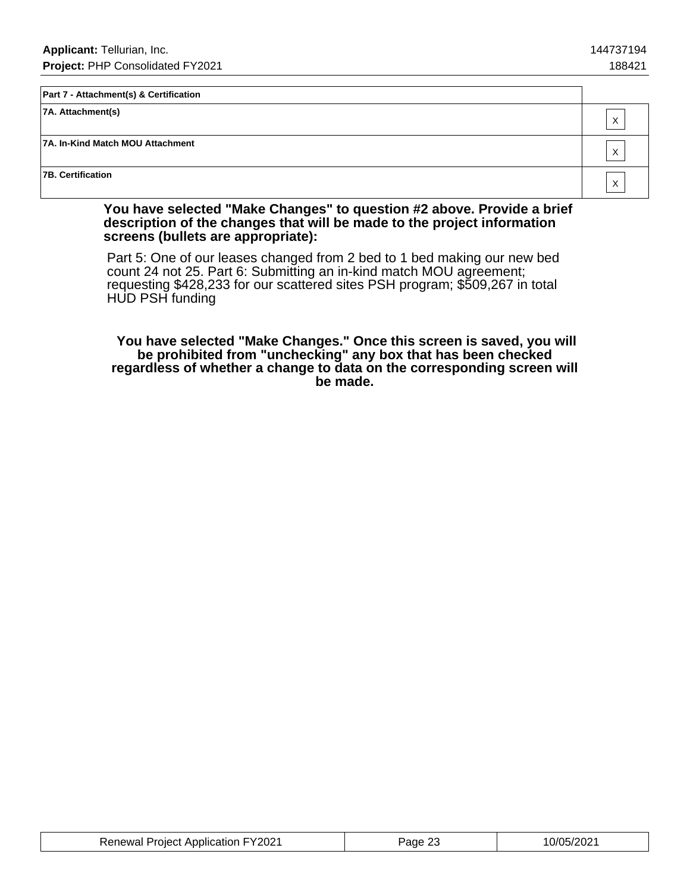| <b>Part 7 - Attachment(s) &amp; Certification</b> |   |
|---------------------------------------------------|---|
| $ 7A.$ Attachment(s)                              | X |
| 7A. In-Kind Match MOU Attachment                  | X |
| 7B. Certification                                 | X |

**You have selected "Make Changes" to question #2 above. Provide a brief description of the changes that will be made to the project information screens (bullets are appropriate):**

Part 5: One of our leases changed from 2 bed to 1 bed making our new bed count 24 not 25. Part 6: Submitting an in-kind match MOU agreement; requesting \$428,233 for our scattered sites PSH program; \$509,267 in total HUD PSH funding

 **You have selected "Make Changes." Once this screen is saved, you will be prohibited from "unchecking" any box that has been checked regardless of whether a change to data on the corresponding screen will be made.**

| <b>Renewal Project Application FY2021</b> | Page 23 | 10/05/2021 |
|-------------------------------------------|---------|------------|
|-------------------------------------------|---------|------------|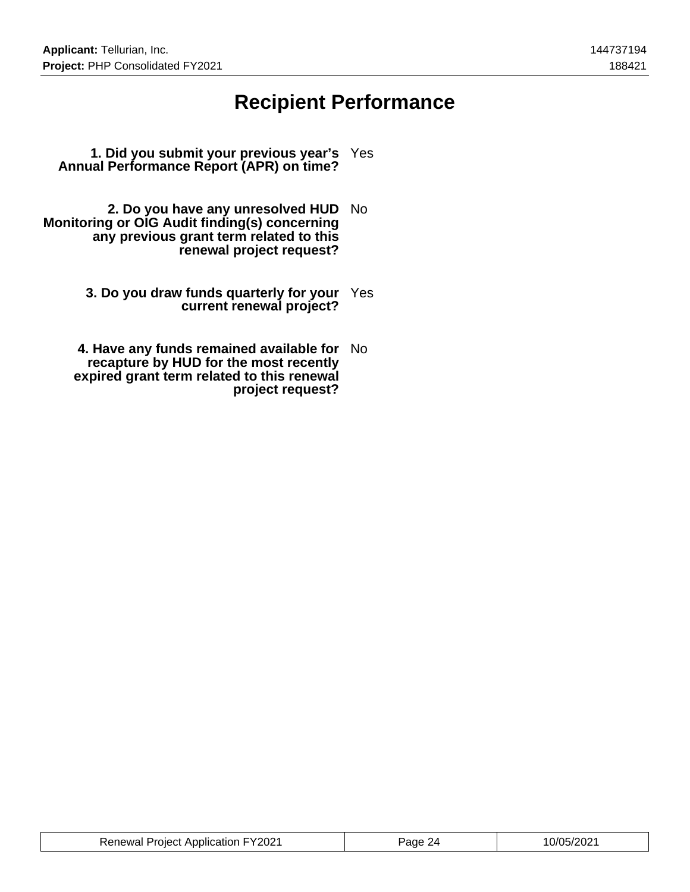## **Recipient Performance**

- **1. Did you submit your previous year's** Yes **Annual Performance Report (APR) on time?**
- **2. Do you have any unresolved HUD** No **Monitoring or OIG Audit finding(s) concerning any previous grant term related to this renewal project request?**
	- **3. Do you draw funds quarterly for your** Yes **current renewal project?**
	- **4. Have any funds remained available for** No **recapture by HUD for the most recently expired grant term related to this renewal project request?**

| <b>Renewal Project Application FY2021</b> | Page 24 | 10/05/2021 |
|-------------------------------------------|---------|------------|
|-------------------------------------------|---------|------------|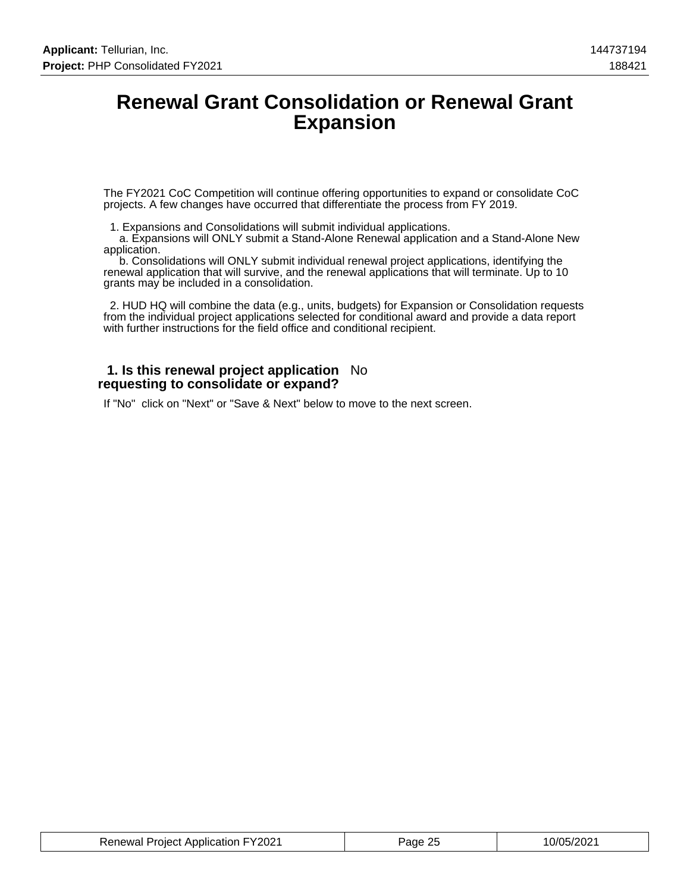## **Renewal Grant Consolidation or Renewal Grant Expansion**

The FY2021 CoC Competition will continue offering opportunities to expand or consolidate CoC projects. A few changes have occurred that differentiate the process from FY 2019.

1. Expansions and Consolidations will submit individual applications.

 a. Expansions will ONLY submit a Stand-Alone Renewal application and a Stand-Alone New application.

 b. Consolidations will ONLY submit individual renewal project applications, identifying the renewal application that will survive, and the renewal applications that will terminate. Up to 10 grants may be included in a consolidation.

 2. HUD HQ will combine the data (e.g., units, budgets) for Expansion or Consolidation requests from the individual project applications selected for conditional award and provide a data report with further instructions for the field office and conditional recipient.

#### **1. Is this renewal project application** No **requesting to consolidate or expand?**

If "No" click on "Next" or "Save & Next" below to move to the next screen.

| <b>Renewal Project Application FY2021</b> | Page 25 | 10/05/2021 |
|-------------------------------------------|---------|------------|
|-------------------------------------------|---------|------------|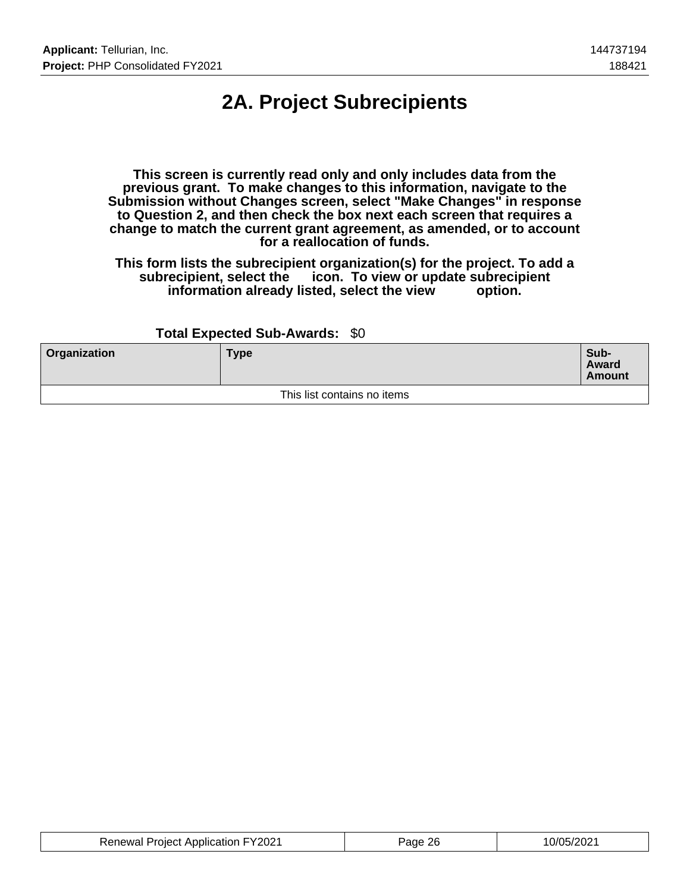# **2A. Project Subrecipients**

**This screen is currently read only and only includes data from the previous grant. To make changes to this information, navigate to the Submission without Changes screen, select "Make Changes" in response to Question 2, and then check the box next each screen that requires a change to match the current grant agreement, as amended, or to account for a reallocation of funds.**

**This form lists the subrecipient organization(s) for the project. To add a subrecipient, select the icon. To view or update subrecipient** information already listed, select the view

### **Total Expected Sub-Awards:** \$0

| <b>Organization</b> | <b>Type</b>                 | Sub-<br>Award<br><b>Amount</b> |
|---------------------|-----------------------------|--------------------------------|
|                     | This list contains no items |                                |

| <b>Renewal Project Application FY2021</b> | Page 26 | 10/05/2021 |
|-------------------------------------------|---------|------------|
|-------------------------------------------|---------|------------|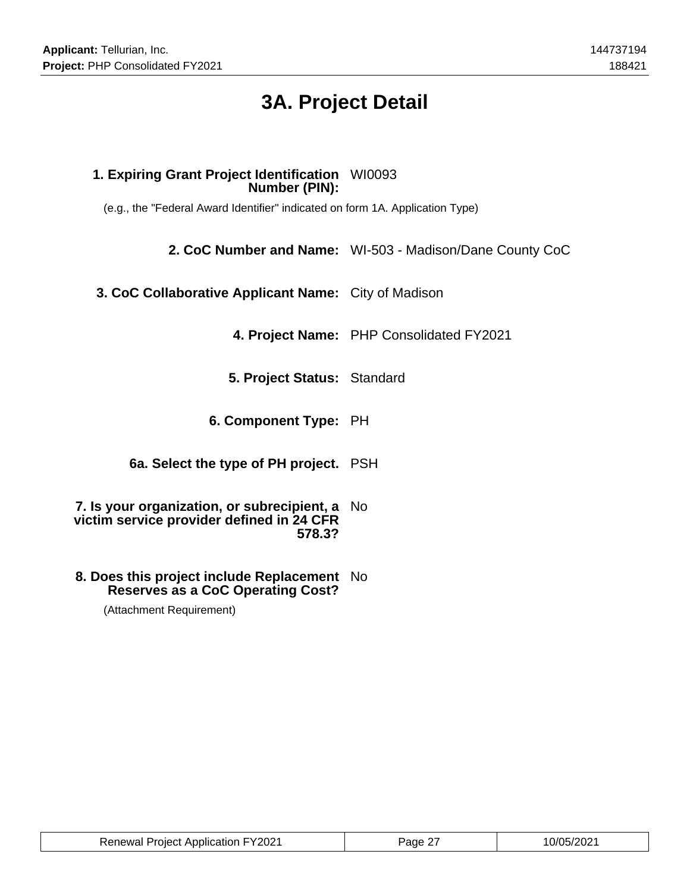# **3A. Project Detail**

## **1. Expiring Grant Project Identification** WI0093 **Number (PIN):**

(e.g., the "Federal Award Identifier" indicated on form 1A. Application Type)

**2. CoC Number and Name:** WI-503 - Madison/Dane County CoC

**3. CoC Collaborative Applicant Name:** City of Madison

**4. Project Name:** PHP Consolidated FY2021

**5. Project Status:** Standard

**6. Component Type:** PH

**6a. Select the type of PH project.** PSH

**7. Is your organization, or subrecipient, a** No **victim service provider defined in 24 CFR 578.3?**

### **8. Does this project include Replacement** No **Reserves as a CoC Operating Cost?**

(Attachment Requirement)

| <b>Renewal Project Application FY2021</b> | Page 27 | 10/05/2021 |
|-------------------------------------------|---------|------------|
|-------------------------------------------|---------|------------|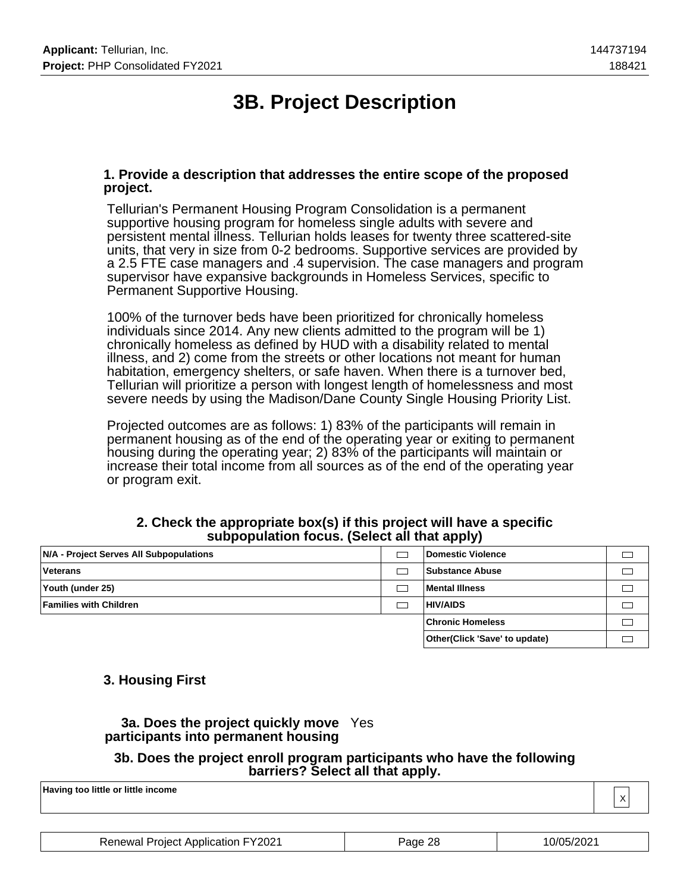# **3B. Project Description**

### **1. Provide a description that addresses the entire scope of the proposed project.**

Tellurian's Permanent Housing Program Consolidation is a permanent supportive housing program for homeless single adults with severe and persistent mental illness. Tellurian holds leases for twenty three scattered-site units, that very in size from 0-2 bedrooms. Supportive services are provided by a 2.5 FTE case managers and .4 supervision. The case managers and program supervisor have expansive backgrounds in Homeless Services, specific to Permanent Supportive Housing.

100% of the turnover beds have been prioritized for chronically homeless individuals since 2014. Any new clients admitted to the program will be 1) chronically homeless as defined by HUD with a disability related to mental illness, and 2) come from the streets or other locations not meant for human habitation, emergency shelters, or safe haven. When there is a turnover bed, Tellurian will prioritize a person with longest length of homelessness and most severe needs by using the Madison/Dane County Single Housing Priority List.

Projected outcomes are as follows: 1) 83% of the participants will remain in permanent housing as of the end of the operating year or exiting to permanent housing during the operating year; 2) 83% of the participants will maintain or increase their total income from all sources as of the end of the operating year or program exit.

|                                         |  | .                              |  |
|-----------------------------------------|--|--------------------------------|--|
| N/A - Project Serves All Subpopulations |  | Domestic Violence              |  |
| <b>Veterans</b>                         |  | <b>Substance Abuse</b>         |  |
| Youth (under 25)                        |  | <b>Mental Illness</b>          |  |
| <b>Families with Children</b>           |  | <b>HIV/AIDS</b>                |  |
|                                         |  | <b>Chronic Homeless</b>        |  |
|                                         |  | Other (Click 'Save' to update) |  |

### **2. Check the appropriate box(s) if this project will have a specific subpopulation focus. (Select all that apply)**

## **3. Housing First**

## **3a. Does the project quickly move** Yes **participants into permanent housing**

#### **3b. Does the project enroll program participants who have the following barriers? Select all that apply.**

**Having too little or little income** X

| <b>Renewal Project Application FY2021</b> | Page 28 | 10/05/2021 |
|-------------------------------------------|---------|------------|
|-------------------------------------------|---------|------------|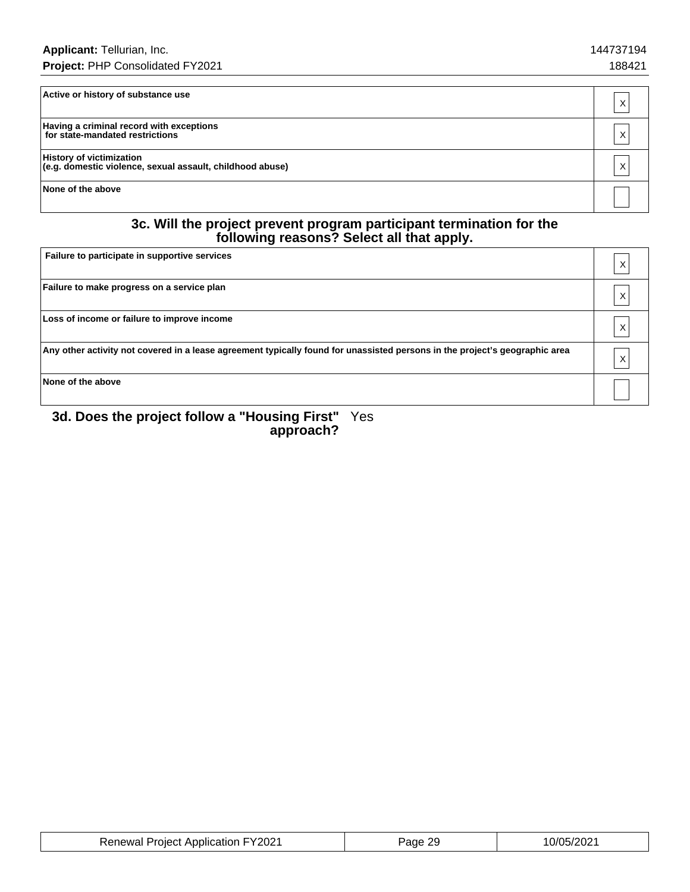| Active or history of substance use                                                           |   |
|----------------------------------------------------------------------------------------------|---|
| Having a criminal record with exceptions<br>for state-mandated restrictions                  | X |
| <b>History of victimization</b><br>(e.g. domestic violence, sexual assault, childhood abuse) |   |
| None of the above                                                                            |   |

#### **3c. Will the project prevent program participant termination for the following reasons? Select all that apply.**

| Failure to participate in supportive services                                                                               | Χ |
|-----------------------------------------------------------------------------------------------------------------------------|---|
| Failure to make progress on a service plan                                                                                  | Χ |
| Loss of income or failure to improve income                                                                                 | X |
| Any other activity not covered in a lease agreement typically found for unassisted persons in the project's geographic area | Χ |
| None of the above                                                                                                           |   |

#### **3d. Does the project follow a "Housing First" approach?** Yes

| <b>Renewal Project Application FY2021</b> | Page 29 | 10/05/2021 |
|-------------------------------------------|---------|------------|
|-------------------------------------------|---------|------------|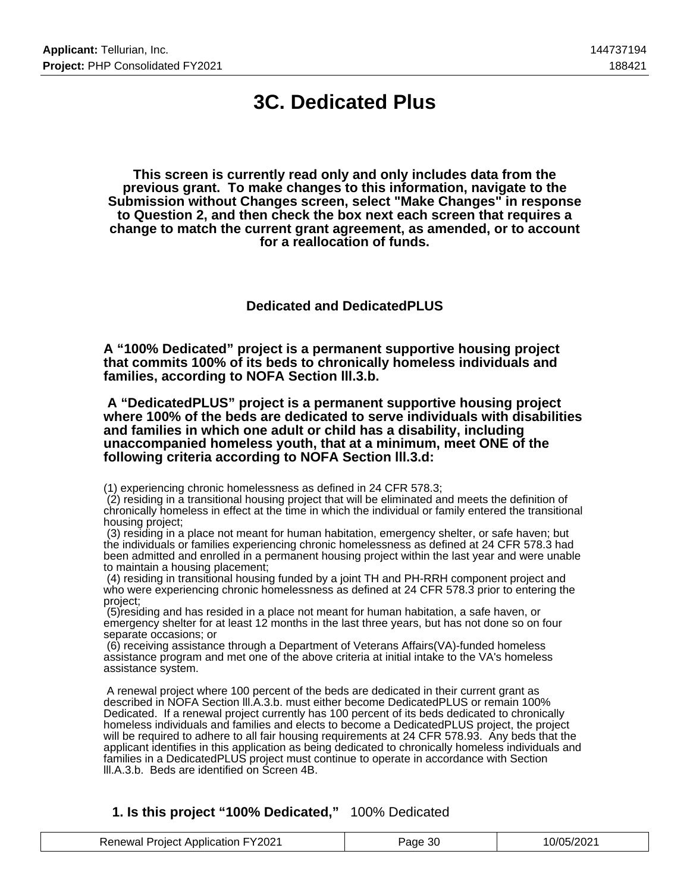## **3C. Dedicated Plus**

**This screen is currently read only and only includes data from the previous grant. To make changes to this information, navigate to the Submission without Changes screen, select "Make Changes" in response to Question 2, and then check the box next each screen that requires a change to match the current grant agreement, as amended, or to account for a reallocation of funds.**

**Dedicated and DedicatedPLUS**

**A "100% Dedicated" project is a permanent supportive housing project that commits 100% of its beds to chronically homeless individuals and families, according to NOFA Section lll.3.b.**

 **A "DedicatedPLUS" project is a permanent supportive housing project where 100% of the beds are dedicated to serve individuals with disabilities and families in which one adult or child has a disability, including unaccompanied homeless youth, that at a minimum, meet ONE of the following criteria according to NOFA Section lll.3.d:**

(1) experiencing chronic homelessness as defined in 24 CFR 578.3;

 (2) residing in a transitional housing project that will be eliminated and meets the definition of chronically homeless in effect at the time in which the individual or family entered the transitional housing project;

 (3) residing in a place not meant for human habitation, emergency shelter, or safe haven; but the individuals or families experiencing chronic homelessness as defined at 24 CFR 578.3 had been admitted and enrolled in a permanent housing project within the last year and were unable to maintain a housing placement;

 (4) residing in transitional housing funded by a joint TH and PH-RRH component project and who were experiencing chronic homelessness as defined at 24 CFR 578.3 prior to entering the project;

 (5)residing and has resided in a place not meant for human habitation, a safe haven, or emergency shelter for at least 12 months in the last three years, but has not done so on four separate occasions; or

 (6) receiving assistance through a Department of Veterans Affairs(VA)-funded homeless assistance program and met one of the above criteria at initial intake to the VA's homeless assistance system.

 A renewal project where 100 percent of the beds are dedicated in their current grant as described in NOFA Section lll.A.3.b. must either become DedicatedPLUS or remain 100% Dedicated. If a renewal project currently has 100 percent of its beds dedicated to chronically homeless individuals and families and elects to become a DedicatedPLUS project, the project will be required to adhere to all fair housing requirements at 24 CFR 578.93. Any beds that the applicant identifies in this application as being dedicated to chronically homeless individuals and families in a DedicatedPLUS project must continue to operate in accordance with Section lll.A.3.b. Beds are identified on Screen 4B.

### **1. Is this project "100% Dedicated,"** 100% Dedicated

| <b>Renewal Project Application FY2021</b> | Page 30 | 10/05/2021 |
|-------------------------------------------|---------|------------|
|-------------------------------------------|---------|------------|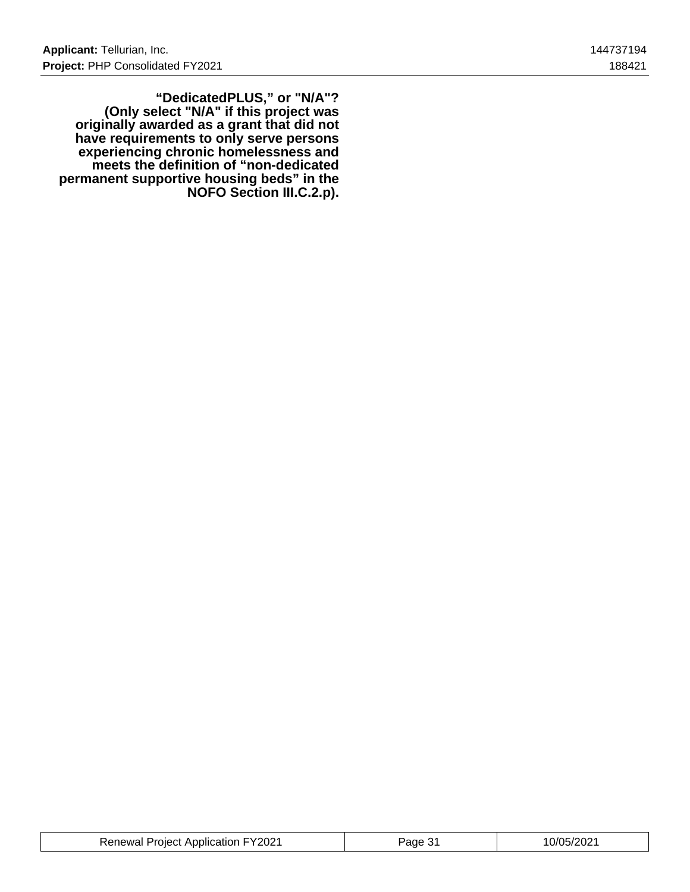**"DedicatedPLUS," or "N/A"? (Only select "N/A" if this project was originally awarded as a grant that did not have requirements to only serve persons experiencing chronic homelessness and meets the definition of "non-dedicated permanent supportive housing beds" in the NOFO Section III.C.2.p).**

| <b>Renewal Project Application FY2021</b> | ane | 0/05/2021 |
|-------------------------------------------|-----|-----------|
|-------------------------------------------|-----|-----------|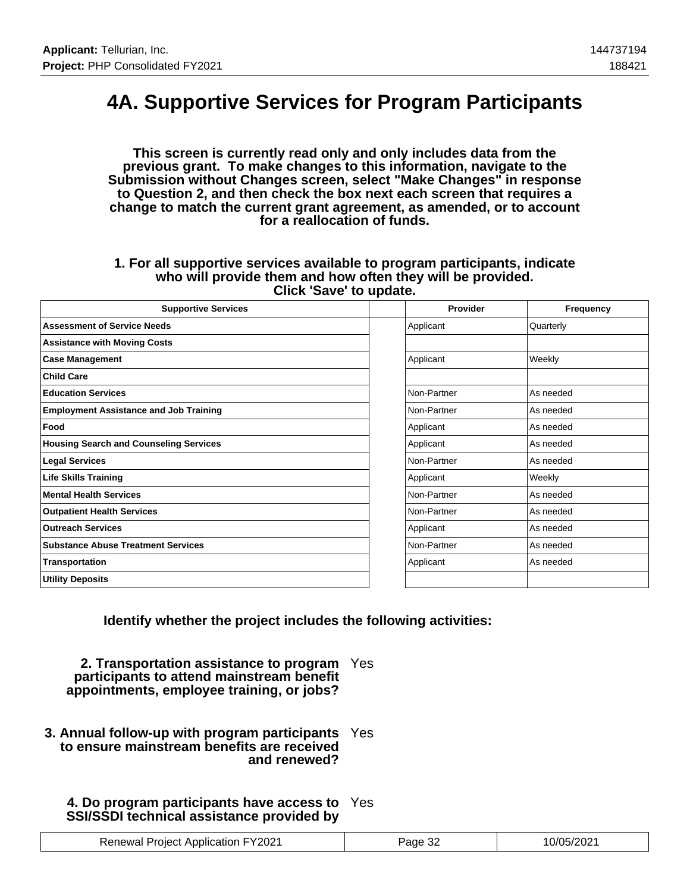## **4A. Supportive Services for Program Participants**

**This screen is currently read only and only includes data from the previous grant. To make changes to this information, navigate to the Submission without Changes screen, select "Make Changes" in response to Question 2, and then check the box next each screen that requires a change to match the current grant agreement, as amended, or to account for a reallocation of funds.**

#### **1. For all supportive services available to program participants, indicate who will provide them and how often they will be provided. Click 'Save' to update.**

| <b>Supportive Services</b>                    | Provider    | Frequency |
|-----------------------------------------------|-------------|-----------|
| <b>Assessment of Service Needs</b>            | Applicant   | Quarterly |
| <b>Assistance with Moving Costs</b>           |             |           |
| <b>Case Management</b>                        | Applicant   | Weekly    |
| <b>Child Care</b>                             |             |           |
| <b>Education Services</b>                     | Non-Partner | As needed |
| <b>Employment Assistance and Job Training</b> | Non-Partner | As needed |
| Food                                          | Applicant   | As needed |
| <b>Housing Search and Counseling Services</b> | Applicant   | As needed |
| <b>Legal Services</b>                         | Non-Partner | As needed |
| <b>Life Skills Training</b>                   | Applicant   | Weekly    |
| <b>Mental Health Services</b>                 | Non-Partner | As needed |
| <b>Outpatient Health Services</b>             | Non-Partner | As needed |
| <b>Outreach Services</b>                      | Applicant   | As needed |
| <b>Substance Abuse Treatment Services</b>     | Non-Partner | As needed |
| Transportation                                | Applicant   | As needed |
| <b>Utility Deposits</b>                       |             |           |

**Identify whether the project includes the following activities:**

**2. Transportation assistance to program** Yes **participants to attend mainstream benefit appointments, employee training, or jobs?**

**3. Annual follow-up with program participants** Yes **to ensure mainstream benefits are received and renewed?**

## **4. Do program participants have access to** Yes **SSI/SSDI technical assistance provided by**

| <b>Renewal Project Application FY2021</b> | Page 32<br>ےت ∹ | 10/05/2021 |
|-------------------------------------------|-----------------|------------|
|-------------------------------------------|-----------------|------------|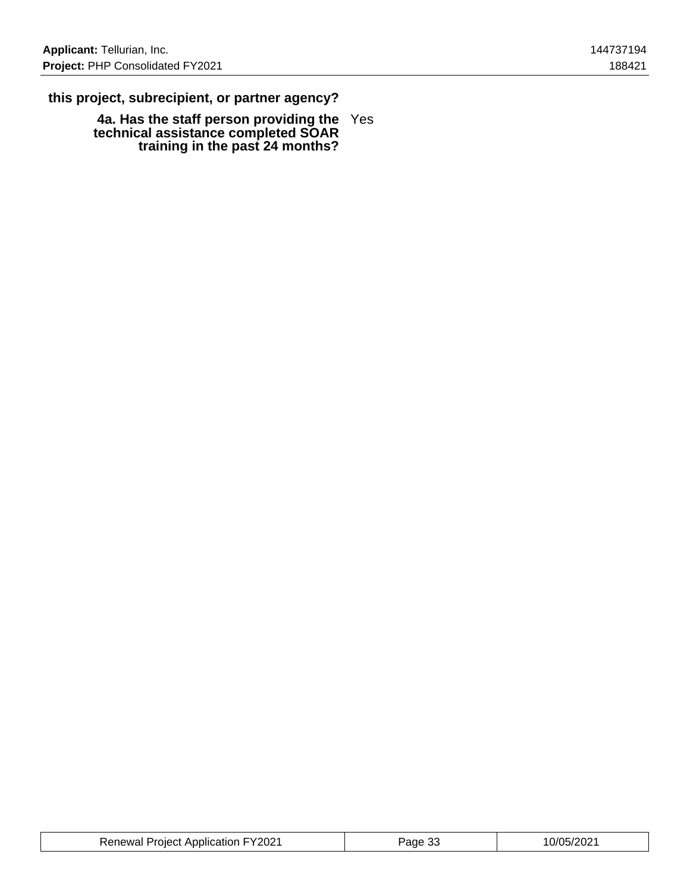## **this project, subrecipient, or partner agency?**

**4a. Has the staff person providing the technical assistance completed SOAR training in the past 24 months?** Yes

| <b>Renewal Project Application FY2021</b> | Page 33 | 10/05/2021 |
|-------------------------------------------|---------|------------|
|-------------------------------------------|---------|------------|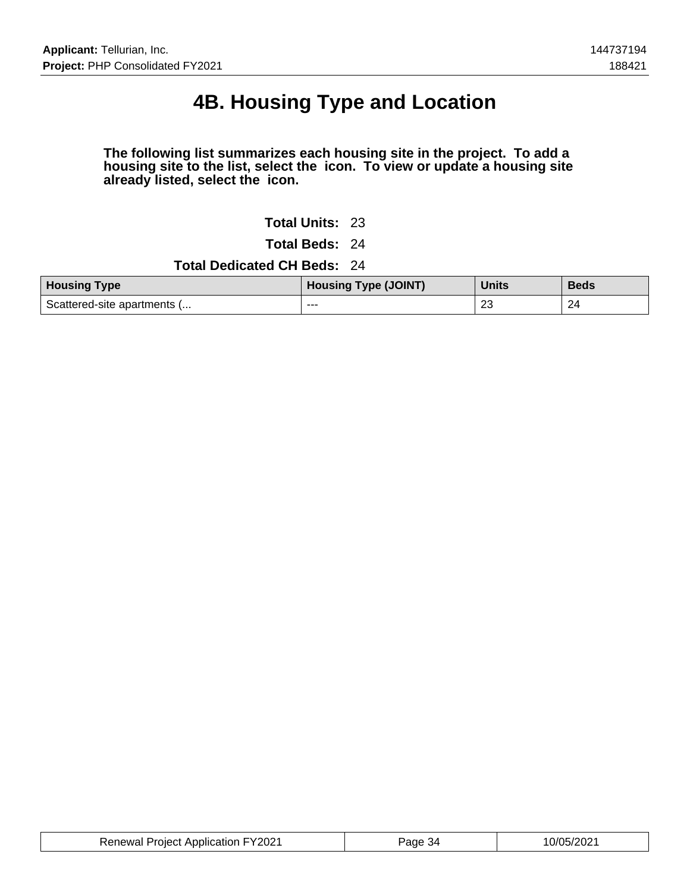# **4B. Housing Type and Location**

### **The following list summarizes each housing site in the project. To add a housing site to the list, select the icon. To view or update a housing site already listed, select the icon.**

**Total Units:** 23

**Total Beds:** 24

### **Total Dedicated CH Beds:** 24

| <b>Housing Type</b>         | <b>Housing Type (JOINT)</b> | <b>Units</b> | <b>Beds</b> |
|-----------------------------|-----------------------------|--------------|-------------|
| Scattered-site apartments ( | ---                         | 23           | 24          |

| <b>Renewal Project Application FY2021</b> | Page | 10/05/2021 |
|-------------------------------------------|------|------------|
|-------------------------------------------|------|------------|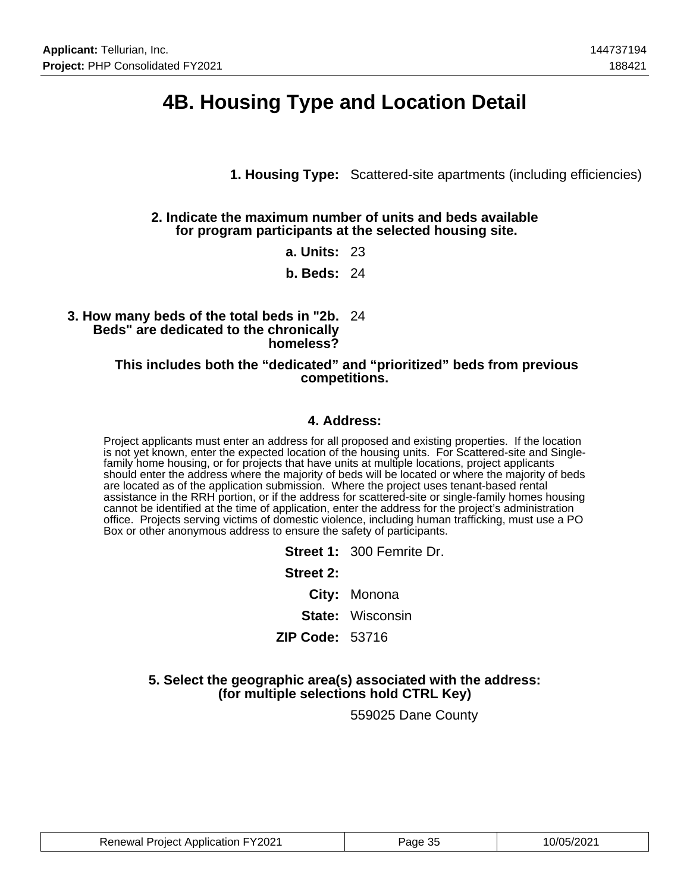## **4B. Housing Type and Location Detail**

**1. Housing Type:** Scattered-site apartments (including efficiencies)

### **2. Indicate the maximum number of units and beds available for program participants at the selected housing site.**

**a. Units:** 23

**b. Beds:** 24

### **3. How many beds of the total beds in "2b.** 24 **Beds" are dedicated to the chronically homeless?**

#### **This includes both the "dedicated" and "prioritized" beds from previous competitions.**

### **4. Address:**

Project applicants must enter an address for all proposed and existing properties. If the location is not yet known, enter the expected location of the housing units. For Scattered-site and Singlefamily home housing, or for projects that have units at multiple locations, project applicants should enter the address where the majority of beds will be located or where the majority of beds are located as of the application submission. Where the project uses tenant-based rental assistance in the RRH portion, or if the address for scattered-site or single-family homes housing cannot be identified at the time of application, enter the address for the project's administration office. Projects serving victims of domestic violence, including human trafficking, must use a PO Box or other anonymous address to ensure the safety of participants.

|                        | Street 1: 300 Femrite Dr. |
|------------------------|---------------------------|
| <b>Street 2:</b>       |                           |
|                        | City: Monona              |
|                        | <b>State:</b> Wisconsin   |
| <b>ZIP Code: 53716</b> |                           |
|                        |                           |

### **5. Select the geographic area(s) associated with the address: (for multiple selections hold CTRL Key)**

559025 Dane County

| <b>Renewal Project Application FY2021</b> | Page 35 | 10/05/2021 |
|-------------------------------------------|---------|------------|
|-------------------------------------------|---------|------------|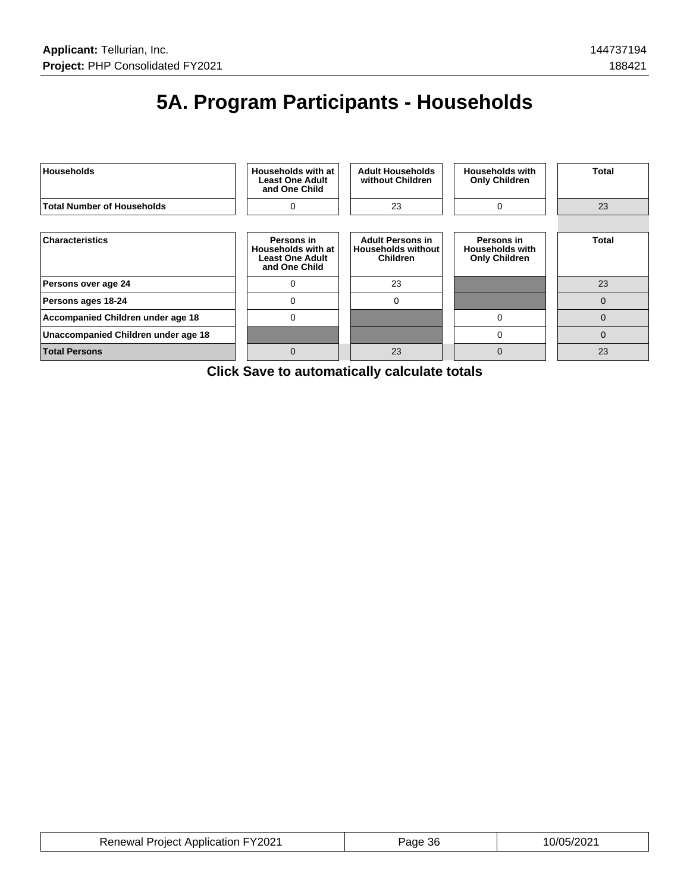# **5A. Program Participants - Households**



**Click Save to automatically calculate totals**

| <b>Renewal Project Application FY2021</b> | Page 36 | 10/05/2021 |
|-------------------------------------------|---------|------------|
|-------------------------------------------|---------|------------|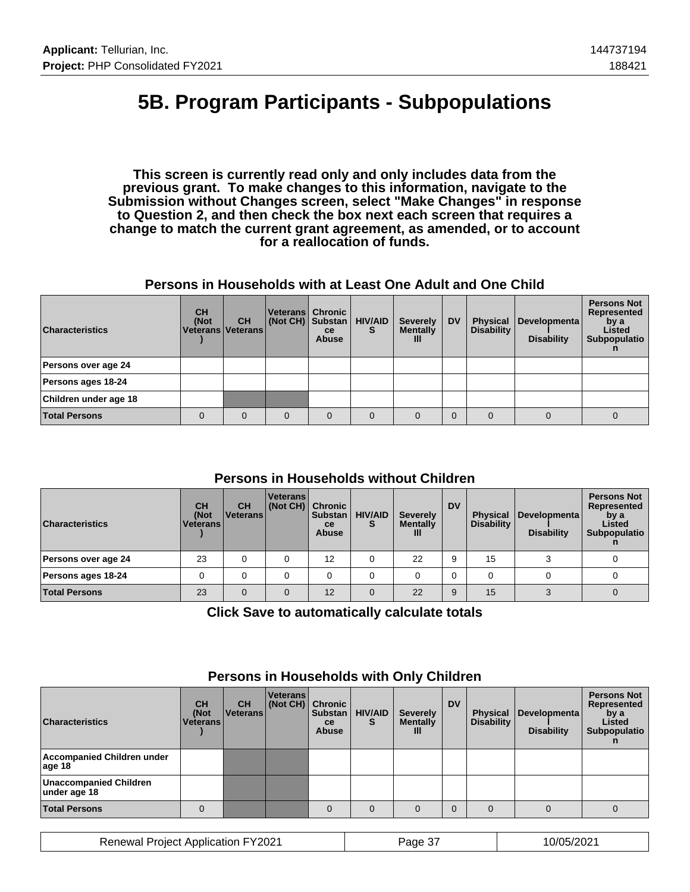## **5B. Program Participants - Subpopulations**

**This screen is currently read only and only includes data from the previous grant. To make changes to this information, navigate to the Submission without Changes screen, select "Make Changes" in response to Question 2, and then check the box next each screen that requires a change to match the current grant agreement, as amended, or to account for a reallocation of funds.**

### **Persons in Households with at Least One Adult and One Child**

| <b>Characteristics</b> | <b>CH</b><br>(Not<br>Veterans   Veterans | <b>CH</b> | Veterans   Chronic<br>(Not CH) Substan | <b>ce</b><br><b>Abuse</b> | <b>HIV/AID</b><br>s | <b>Severely</b><br><b>Mentally</b><br>Ш | <b>DV</b> | <b>Physical</b><br><b>Disability</b> | Developmenta<br><b>Disability</b> | <b>Persons Not</b><br>Represented<br>by a<br>Listed<br>Subpopulatio |
|------------------------|------------------------------------------|-----------|----------------------------------------|---------------------------|---------------------|-----------------------------------------|-----------|--------------------------------------|-----------------------------------|---------------------------------------------------------------------|
| Persons over age 24    |                                          |           |                                        |                           |                     |                                         |           |                                      |                                   |                                                                     |
| Persons ages 18-24     |                                          |           |                                        |                           |                     |                                         |           |                                      |                                   |                                                                     |
| Children under age 18  |                                          |           |                                        |                           |                     |                                         |           |                                      |                                   |                                                                     |
| <b>Total Persons</b>   | 0                                        | $\Omega$  | 0                                      | $\Omega$                  | $\Omega$            |                                         |           |                                      |                                   | 0                                                                   |

## **Persons in Households without Children**

| <b>Characteristics</b> | <b>CH</b><br>(Not<br><b>Veterans</b> | <b>CH</b><br>l Veterans l | <b>Veterans</b><br>(Not CH) Chronic | <b>Substan</b><br>ce<br><b>Abuse</b> | <b>HIV/AID</b> | <b>Severely</b><br><b>Mentally</b><br>Ш | <b>DV</b> | <b>Physical</b><br><b>Disability</b> | Developmenta<br><b>Disability</b> | <b>Persons Not</b><br>Represented<br>by a<br>Listed<br>Subpopulatio |
|------------------------|--------------------------------------|---------------------------|-------------------------------------|--------------------------------------|----------------|-----------------------------------------|-----------|--------------------------------------|-----------------------------------|---------------------------------------------------------------------|
| Persons over age 24    | 23                                   |                           |                                     | 12                                   |                | 22                                      |           | 15                                   |                                   |                                                                     |
| Persons ages 18-24     |                                      |                           |                                     |                                      |                |                                         |           |                                      |                                   |                                                                     |
| <b>Total Persons</b>   | 23                                   |                           |                                     | 12                                   | $\Omega$       | 22                                      | 9         | 15                                   |                                   |                                                                     |

**Click Save to automatically calculate totals**

| <b>Characteristics</b>                        | <b>CH</b><br>(Not<br><b>Veterans</b> | <b>CH</b><br><b>Veterans</b> | <b>Veterans</b><br>(Not CH) | <b>Chronic</b><br><b>Substan</b><br>ce<br><b>Abuse</b> | <b>HIV/AID</b><br>S | <b>Severely</b><br><b>Mentally</b><br>Ш | <b>DV</b> | <b>Physical</b><br><b>Disability</b> | Developmenta<br><b>Disability</b> | <b>Persons Not</b><br>Represented<br>by a<br>Listed<br>Subpopulatio |
|-----------------------------------------------|--------------------------------------|------------------------------|-----------------------------|--------------------------------------------------------|---------------------|-----------------------------------------|-----------|--------------------------------------|-----------------------------------|---------------------------------------------------------------------|
| Accompanied Children under<br>age 18          |                                      |                              |                             |                                                        |                     |                                         |           |                                      |                                   |                                                                     |
| <b>Unaccompanied Children</b><br>under age 18 |                                      |                              |                             |                                                        |                     |                                         |           |                                      |                                   |                                                                     |
| <b>Total Persons</b>                          |                                      |                              |                             | $\Omega$                                               | $\Omega$            |                                         |           |                                      |                                   |                                                                     |

## **Persons in Households with Only Children**

Renewal Project Application FY2021 Page 37 10/05/2021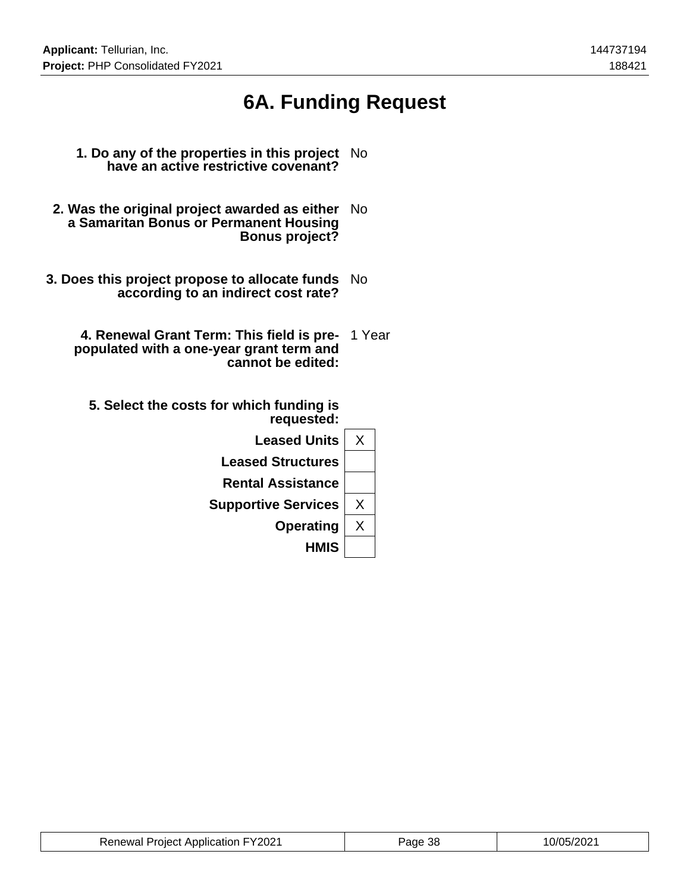# **6A. Funding Request**

- **1. Do any of the properties in this project have an active restrictive covenant?** No
- **2. Was the original project awarded as either** No **a Samaritan Bonus or Permanent Housing Bonus project?**
- **3. Does this project propose to allocate funds** No **according to an indirect cost rate?**
	- **4. Renewal Grant Term: This field is pre-**1 Year **populated with a one-year grant term and cannot be edited:**
		- **5. Select the costs for which funding is requested:**

| <b>Leased Units</b>        | х |
|----------------------------|---|
| <b>Leased Structures</b>   |   |
| <b>Rental Assistance</b>   |   |
| <b>Supportive Services</b> | Χ |
| <b>Operating</b>           | Χ |
| <b>HMIS</b>                |   |

| <b>Renewal Project Application FY2021</b> | <sup>2</sup> aae 38 | 10/05/2021 |
|-------------------------------------------|---------------------|------------|
|-------------------------------------------|---------------------|------------|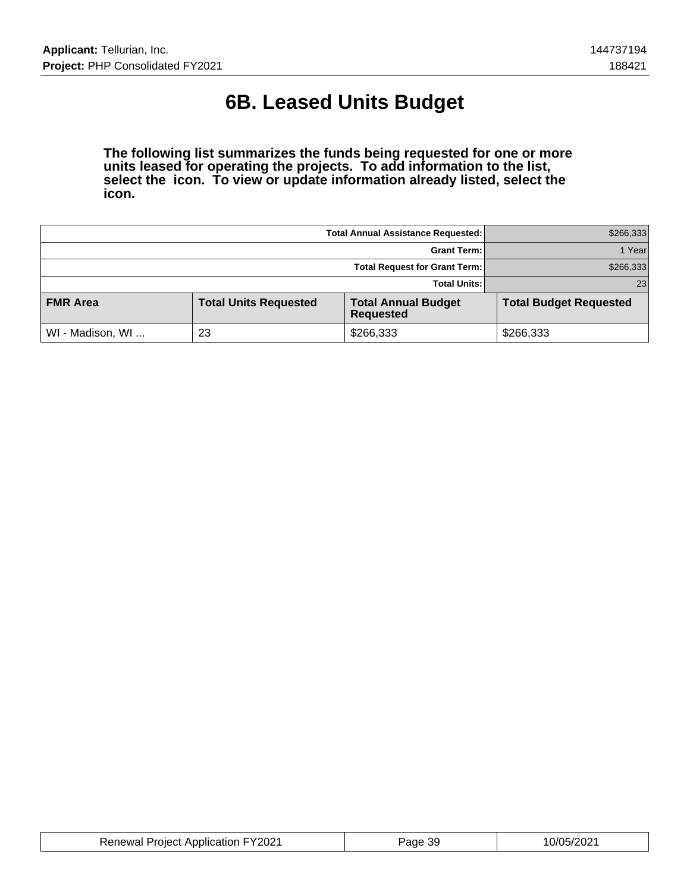# **6B. Leased Units Budget**

**The following list summarizes the funds being requested for one or more units leased for operating the projects. To add information to the list, select the icon. To view or update information already listed, select the icon.**

|                  | \$266,333                    |                                                |                               |
|------------------|------------------------------|------------------------------------------------|-------------------------------|
|                  | 1 Yearl                      |                                                |                               |
|                  | \$266,333                    |                                                |                               |
|                  | 23 <sub>1</sub>              |                                                |                               |
| <b>FMR Area</b>  | <b>Total Units Requested</b> | <b>Total Annual Budget</b><br><b>Requested</b> | <b>Total Budget Requested</b> |
| WI - Madison, WI | 23                           | \$266,333                                      | \$266,333                     |

| <b>Renewal Project Application FY2021</b> | Page 39 | 10/05/2021 |
|-------------------------------------------|---------|------------|
|-------------------------------------------|---------|------------|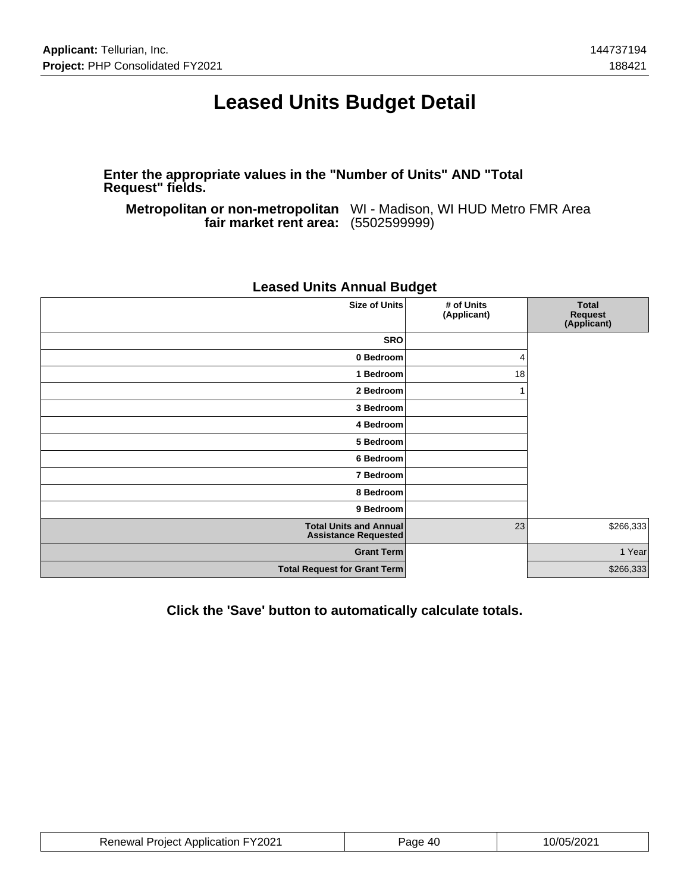## **Leased Units Budget Detail**

**Enter the appropriate values in the "Number of Units" AND "Total Request" fields.**

**Metropolitan or non-metropolitan** WI - Madison, WI HUD Metro FMR Area **fair market rent area:** (5502599999)

| <b>Size of Units</b>                                         | # of Units<br>(Applicant) | <b>Total</b><br>Request<br>(Applicant) |
|--------------------------------------------------------------|---------------------------|----------------------------------------|
| <b>SRO</b>                                                   |                           |                                        |
| 0 Bedroom                                                    | 4                         |                                        |
| 1 Bedroom                                                    | 18                        |                                        |
| 2 Bedroom                                                    |                           |                                        |
| 3 Bedroom                                                    |                           |                                        |
| 4 Bedroom                                                    |                           |                                        |
| 5 Bedroom                                                    |                           |                                        |
| 6 Bedroom                                                    |                           |                                        |
| 7 Bedroom                                                    |                           |                                        |
| 8 Bedroom                                                    |                           |                                        |
| 9 Bedroom                                                    |                           |                                        |
| <b>Total Units and Annual</b><br><b>Assistance Requested</b> | 23                        | \$266,333                              |
| <b>Grant Term</b>                                            |                           | 1 Year                                 |
| <b>Total Request for Grant Term</b>                          |                           | \$266,333                              |
|                                                              |                           |                                        |

## **Leased Units Annual Budget**

**Click the 'Save' button to automatically calculate totals.**

| <b>Renewal Project Application FY2021</b> | Page 40 | 10/05/2021 |
|-------------------------------------------|---------|------------|
|-------------------------------------------|---------|------------|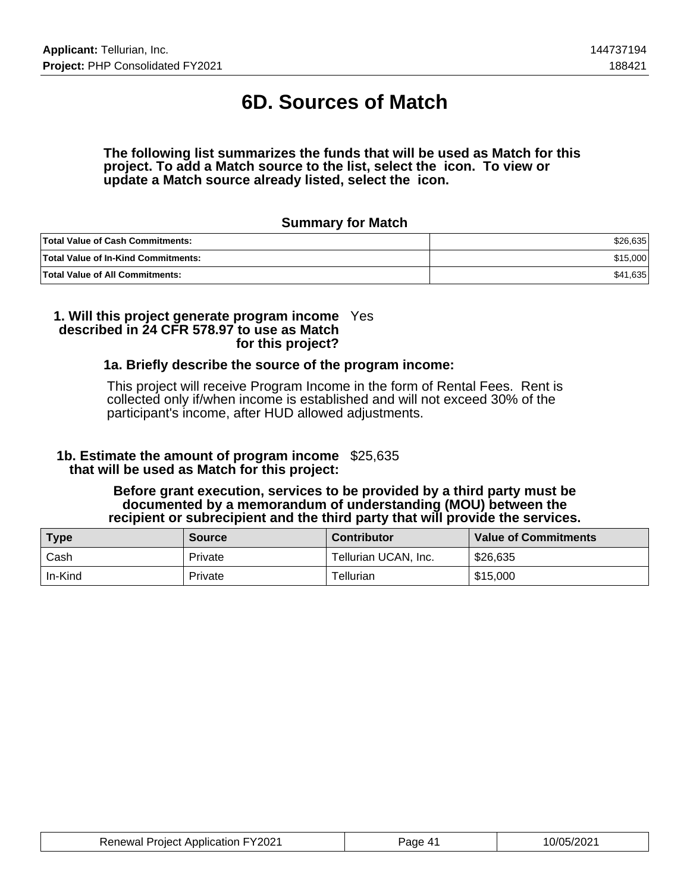# **6D. Sources of Match**

#### **The following list summarizes the funds that will be used as Match for this project. To add a Match source to the list, select the icon. To view or update a Match source already listed, select the icon.**

### **Summary for Match**

| <b>Total Value of Cash Commitments:</b>    | \$26.635 |
|--------------------------------------------|----------|
| <b>Total Value of In-Kind Commitments:</b> | \$15,000 |
| <b>Total Value of All Commitments:</b>     | \$41,635 |

#### **1. Will this project generate program income** Yes **described in 24 CFR 578.97 to use as Match for this project?**

### **1a. Briefly describe the source of the program income:**

This project will receive Program Income in the form of Rental Fees. Rent is collected only if/when income is established and will not exceed 30% of the participant's income, after HUD allowed adjustments.

## **1b. Estimate the amount of program income** \$25,635  **that will be used as Match for this project:**

### **Before grant execution, services to be provided by a third party must be documented by a memorandum of understanding (MOU) between the recipient or subrecipient and the third party that will provide the services.**

| <b>Type</b> | <b>Source</b> | <b>Contributor</b>   | <b>Value of Commitments</b> |
|-------------|---------------|----------------------|-----------------------------|
| Cash        | Private       | Tellurian UCAN, Inc. | \$26,635                    |
| In-Kind     | Private       | Tellurian            | \$15,000                    |

| <b>Renewal Project Application FY2021</b> | Page 41 | 10/05/2021 |
|-------------------------------------------|---------|------------|
|-------------------------------------------|---------|------------|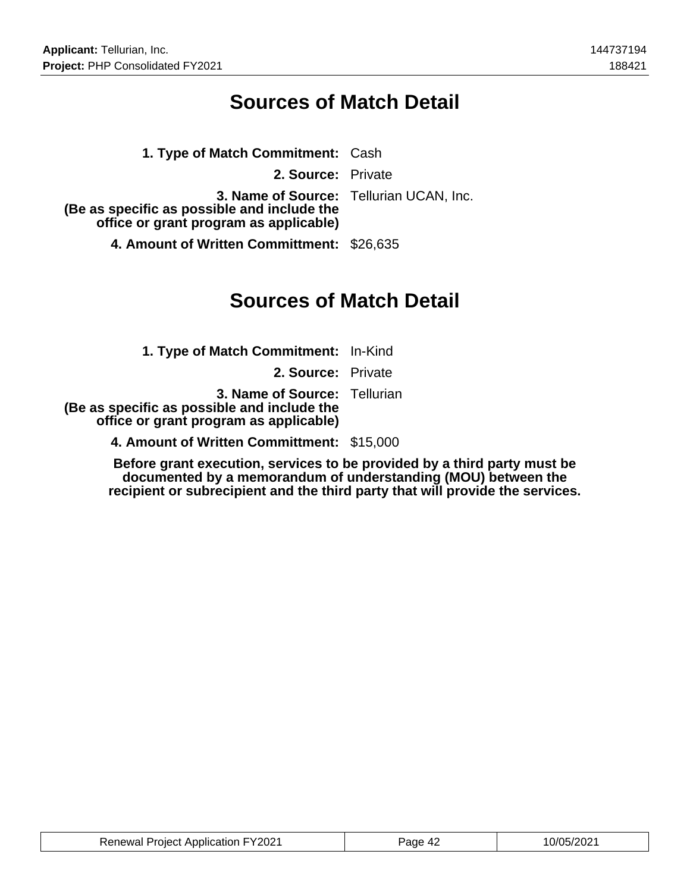## **Sources of Match Detail**

| 1. Type of Match Commitment: Cash                                                     |                                         |
|---------------------------------------------------------------------------------------|-----------------------------------------|
| 2. Source: Private                                                                    |                                         |
| (Be as specific as possible and include the<br>office or grant program as applicable) | 3. Name of Source: Tellurian UCAN, Inc. |
| $\overline{1}$ is the set of $\overline{1}$ is the set of $\overline{1}$              |                                         |

**4. Amount of Written Committment:** \$26,635

## **Sources of Match Detail**

**1. Type of Match Commitment:** In-Kind **2. Source:** Private **3. Name of Source:** Tellurian  **(Be as specific as possible and include the office or grant program as applicable) 4. Amount of Written Committment:** \$15,000

**Before grant execution, services to be provided by a third party must be documented by a memorandum of understanding (MOU) between the recipient or subrecipient and the third party that will provide the services.**

| <b>Renewal Project Application FY2021</b> | Page 42 | 10/05/2021 |
|-------------------------------------------|---------|------------|
|-------------------------------------------|---------|------------|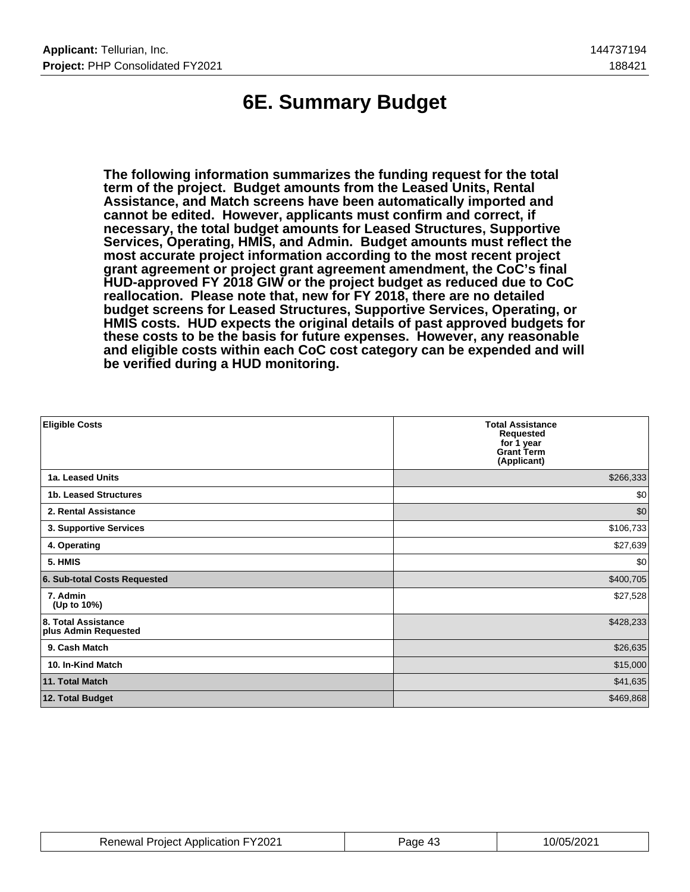# **6E. Summary Budget**

**The following information summarizes the funding request for the total term of the project. Budget amounts from the Leased Units, Rental Assistance, and Match screens have been automatically imported and cannot be edited. However, applicants must confirm and correct, if necessary, the total budget amounts for Leased Structures, Supportive Services, Operating, HMIS, and Admin. Budget amounts must reflect the most accurate project information according to the most recent project grant agreement or project grant agreement amendment, the CoC's final HUD-approved FY 2018 GIW or the project budget as reduced due to CoC reallocation. Please note that, new for FY 2018, there are no detailed budget screens for Leased Structures, Supportive Services, Operating, or HMIS costs. HUD expects the original details of past approved budgets for these costs to be the basis for future expenses. However, any reasonable and eligible costs within each CoC cost category can be expended and will be verified during a HUD monitoring.**

| <b>Eligible Costs</b>                       | <b>Total Assistance</b><br><b>Requested</b><br>for 1 year<br><b>Grant Term</b><br>(Applicant) |
|---------------------------------------------|-----------------------------------------------------------------------------------------------|
| 1a. Leased Units                            | \$266,333                                                                                     |
| 1b. Leased Structures                       | \$0                                                                                           |
| 2. Rental Assistance                        | \$0                                                                                           |
| 3. Supportive Services                      | \$106,733                                                                                     |
| 4. Operating                                | \$27,639                                                                                      |
| 5. HMIS                                     | \$0                                                                                           |
| 6. Sub-total Costs Requested                | \$400,705                                                                                     |
| 7. Admin<br>(Up to 10%)                     | \$27,528                                                                                      |
| 8. Total Assistance<br>plus Admin Requested | \$428,233                                                                                     |
| 9. Cash Match                               | \$26,635                                                                                      |
| 10. In-Kind Match                           | \$15,000                                                                                      |
| 11. Total Match                             | \$41,635                                                                                      |
| 12. Total Budget                            | \$469,868                                                                                     |

| <b>Renewal Project Application FY2021</b> | Page 43 | 10/05/2021 |
|-------------------------------------------|---------|------------|
|-------------------------------------------|---------|------------|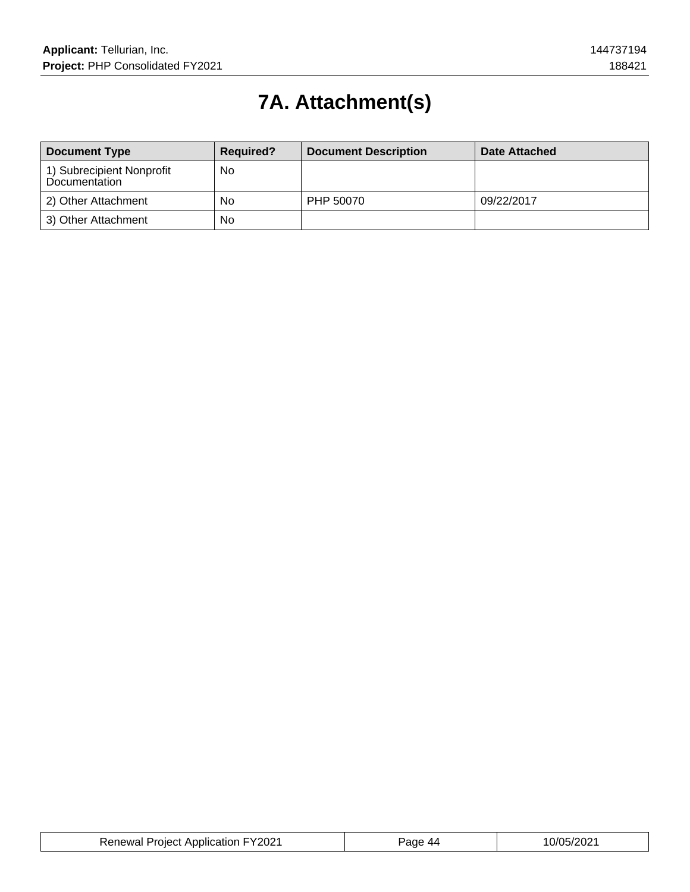# **7A. Attachment(s)**

| <b>Document Type</b>                       | <b>Required?</b> | <b>Document Description</b> | Date Attached |
|--------------------------------------------|------------------|-----------------------------|---------------|
| 1) Subrecipient Nonprofit<br>Documentation | <b>No</b>        |                             |               |
| 2) Other Attachment                        | No               | PHP 50070                   | 09/22/2017    |
| 3) Other Attachment                        | No               |                             |               |

| <b>Renewal Project Application FY2021</b> | age<br>44 | 10/05/2021 |
|-------------------------------------------|-----------|------------|
|-------------------------------------------|-----------|------------|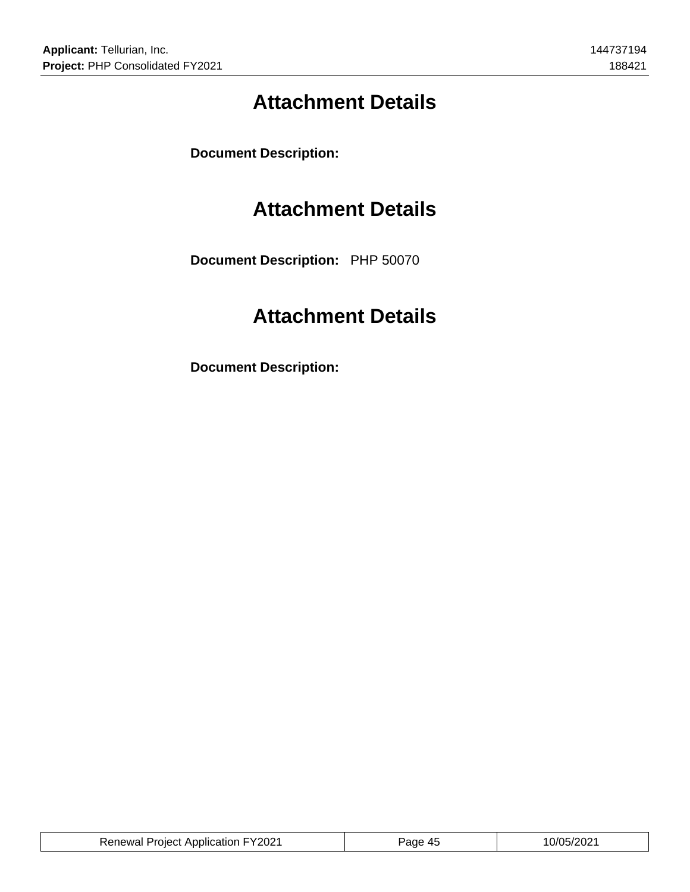# **Attachment Details**

**Document Description:**

## **Attachment Details**

**Document Description:** PHP 50070

# **Attachment Details**

**Document Description:**

| <b>Renewal Project Application FY2021</b> | Page 45 | 10/05/2021 |
|-------------------------------------------|---------|------------|
|                                           |         |            |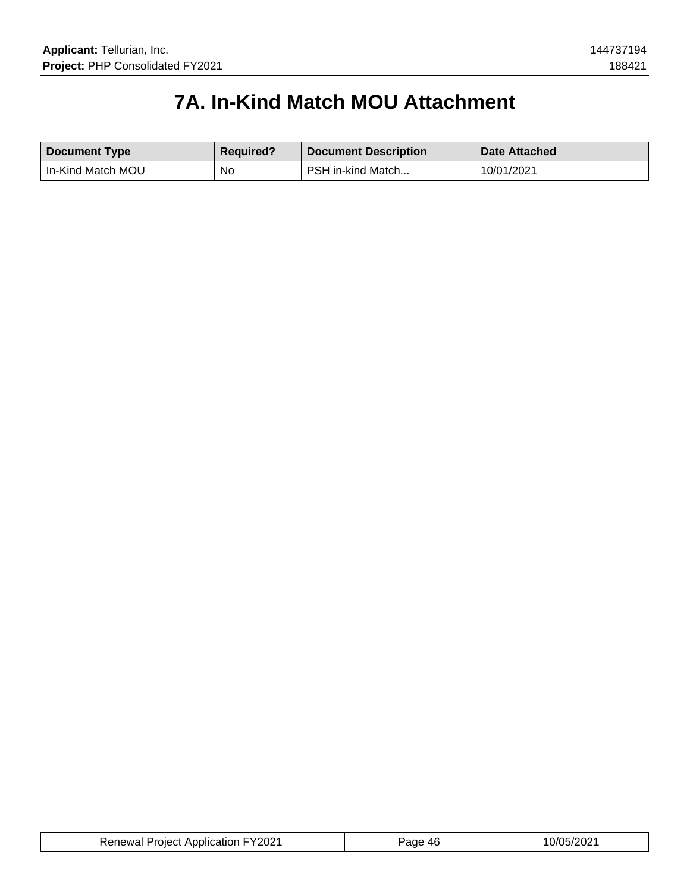# **7A. In-Kind Match MOU Attachment**

| <b>Document Type</b> | <b>Required?</b> | <b>Document Description</b> | Date Attached |
|----------------------|------------------|-----------------------------|---------------|
| In-Kind Match MOU    | No               | PSH in-kind Match           | 10/01/2021    |

| <b>Renewal Project Application FY2021</b> | Page 46 | 10/05/2021 |
|-------------------------------------------|---------|------------|
|-------------------------------------------|---------|------------|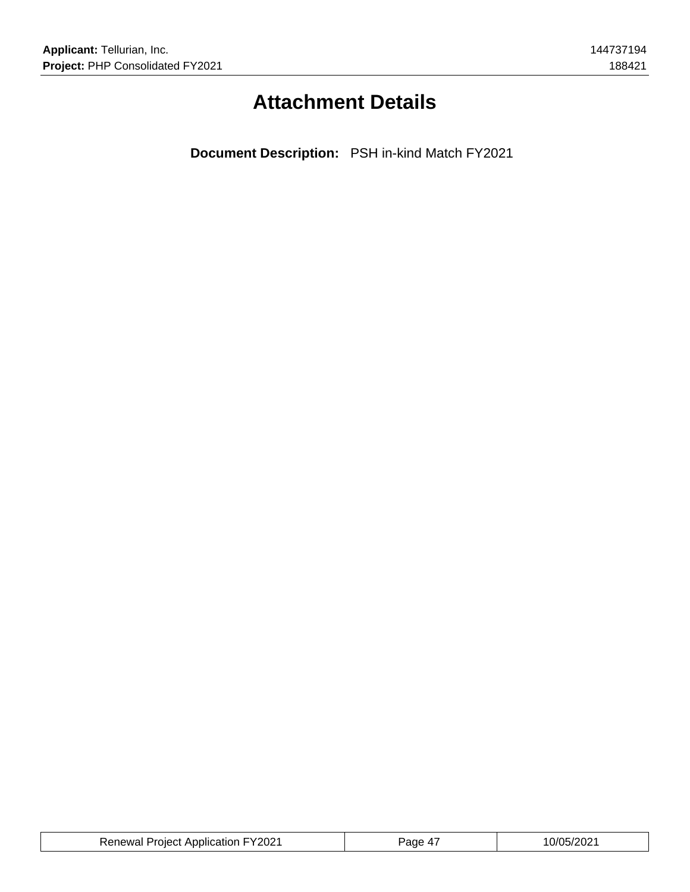# **Attachment Details**

**Document Description:** PSH in-kind Match FY2021

| <b>Renewal Project Application FY2021</b> | Page 4, | 10/05/2021 |
|-------------------------------------------|---------|------------|
|-------------------------------------------|---------|------------|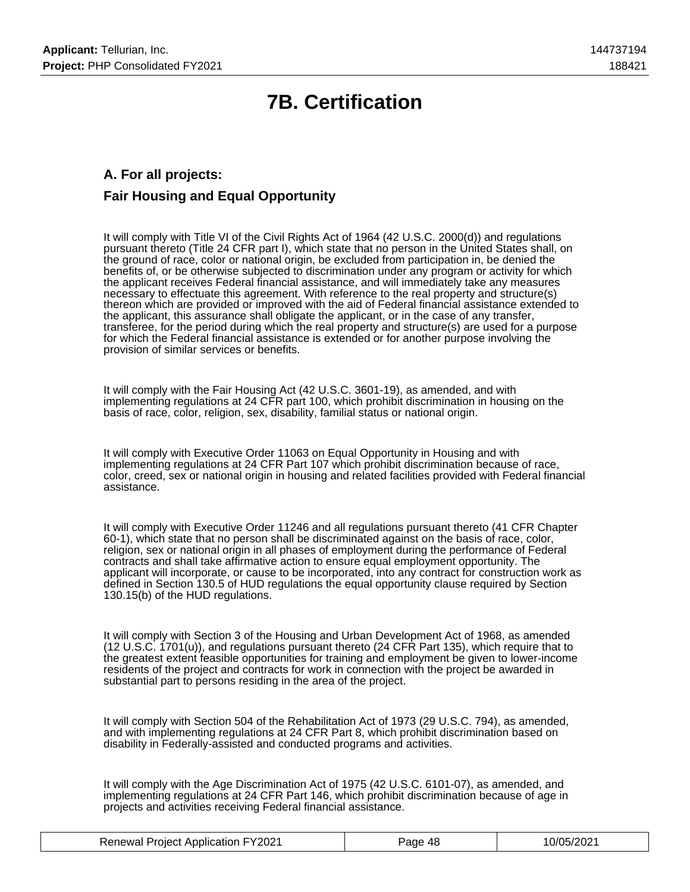# **7B. Certification**

## **A. For all projects: Fair Housing and Equal Opportunity**

It will comply with Title VI of the Civil Rights Act of 1964 (42 U.S.C. 2000(d)) and regulations pursuant thereto (Title 24 CFR part I), which state that no person in the United States shall, on the ground of race, color or national origin, be excluded from participation in, be denied the benefits of, or be otherwise subjected to discrimination under any program or activity for which the applicant receives Federal financial assistance, and will immediately take any measures necessary to effectuate this agreement. With reference to the real property and structure(s) thereon which are provided or improved with the aid of Federal financial assistance extended to the applicant, this assurance shall obligate the applicant, or in the case of any transfer, transferee, for the period during which the real property and structure(s) are used for a purpose for which the Federal financial assistance is extended or for another purpose involving the provision of similar services or benefits.

It will comply with the Fair Housing Act (42 U.S.C. 3601-19), as amended, and with implementing regulations at 24 CFR part 100, which prohibit discrimination in housing on the basis of race, color, religion, sex, disability, familial status or national origin.

It will comply with Executive Order 11063 on Equal Opportunity in Housing and with implementing regulations at 24 CFR Part 107 which prohibit discrimination because of race, color, creed, sex or national origin in housing and related facilities provided with Federal financial assistance.

It will comply with Executive Order 11246 and all regulations pursuant thereto (41 CFR Chapter 60-1), which state that no person shall be discriminated against on the basis of race, color, religion, sex or national origin in all phases of employment during the performance of Federal contracts and shall take affirmative action to ensure equal employment opportunity. The applicant will incorporate, or cause to be incorporated, into any contract for construction work as defined in Section 130.5 of HUD regulations the equal opportunity clause required by Section 130.15(b) of the HUD regulations.

It will comply with Section 3 of the Housing and Urban Development Act of 1968, as amended (12 U.S.C. 1701(u)), and regulations pursuant thereto (24 CFR Part 135), which require that to the greatest extent feasible opportunities for training and employment be given to lower-income residents of the project and contracts for work in connection with the project be awarded in substantial part to persons residing in the area of the project.

It will comply with Section 504 of the Rehabilitation Act of 1973 (29 U.S.C. 794), as amended, and with implementing regulations at 24 CFR Part 8, which prohibit discrimination based on disability in Federally-assisted and conducted programs and activities.

It will comply with the Age Discrimination Act of 1975 (42 U.S.C. 6101-07), as amended, and implementing regulations at 24 CFR Part 146, which prohibit discrimination because of age in projects and activities receiving Federal financial assistance.

| <b>Renewal Project Application FY2021</b> | Page 48 | 10/05/2021 |
|-------------------------------------------|---------|------------|
|-------------------------------------------|---------|------------|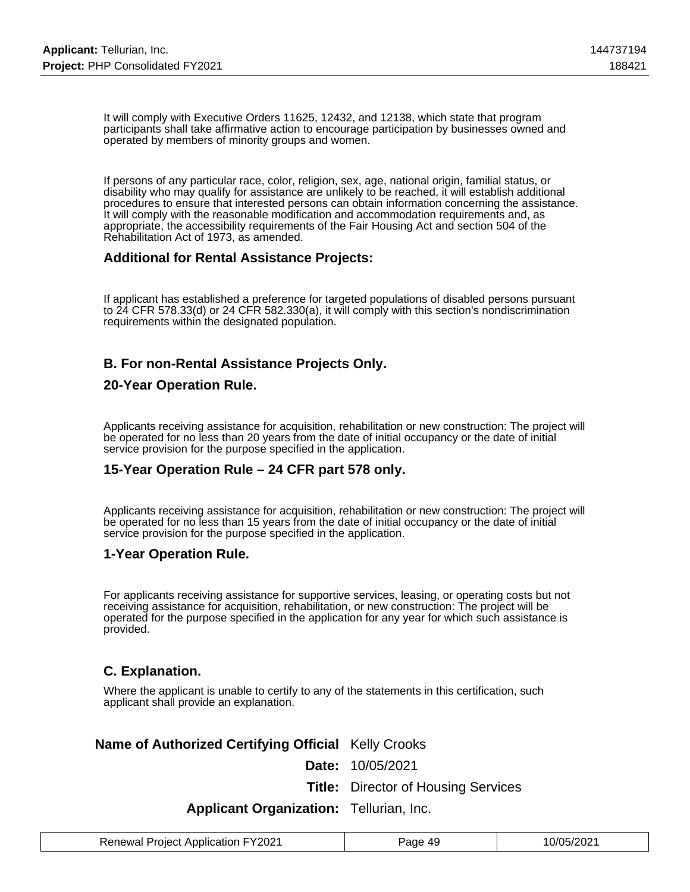It will comply with Executive Orders 11625, 12432, and 12138, which state that program participants shall take affirmative action to encourage participation by businesses owned and operated by members of minority groups and women.

If persons of any particular race, color, religion, sex, age, national origin, familial status, or disability who may qualify for assistance are unlikely to be reached, it will establish additional procedures to ensure that interested persons can obtain information concerning the assistance. It will comply with the reasonable modification and accommodation requirements and, as appropriate, the accessibility requirements of the Fair Housing Act and section 504 of the Rehabilitation Act of 1973, as amended.

### **Additional for Rental Assistance Projects:**

If applicant has established a preference for targeted populations of disabled persons pursuant to 24 CFR 578.33(d) or 24 CFR 582.330(a), it will comply with this section's nondiscrimination requirements within the designated population.

## **B. For non-Rental Assistance Projects Only.**

### **20-Year Operation Rule.**

Applicants receiving assistance for acquisition, rehabilitation or new construction: The project will be operated for no less than 20 years from the date of initial occupancy or the date of initial service provision for the purpose specified in the application.

### **15-Year Operation Rule – 24 CFR part 578 only.**

Applicants receiving assistance for acquisition, rehabilitation or new construction: The project will be operated for no less than 15 years from the date of initial occupancy or the date of initial service provision for the purpose specified in the application.

#### **1-Year Operation Rule.**

For applicants receiving assistance for supportive services, leasing, or operating costs but not receiving assistance for acquisition, rehabilitation, or new construction: The project will be operated for the purpose specified in the application for any year for which such assistance is provided.

### **C. Explanation.**

Where the applicant is unable to certify to any of the statements in this certification, such applicant shall provide an explanation.

### **Name of Authorized Certifying Official** Kelly Crooks

**Date:** 10/05/2021

**Title:** Director of Housing Services

### **Applicant Organization:** Tellurian, Inc.

| <b>Renewal Project Application FY2021</b> | Page 49 | 10/05/2021 |
|-------------------------------------------|---------|------------|
|-------------------------------------------|---------|------------|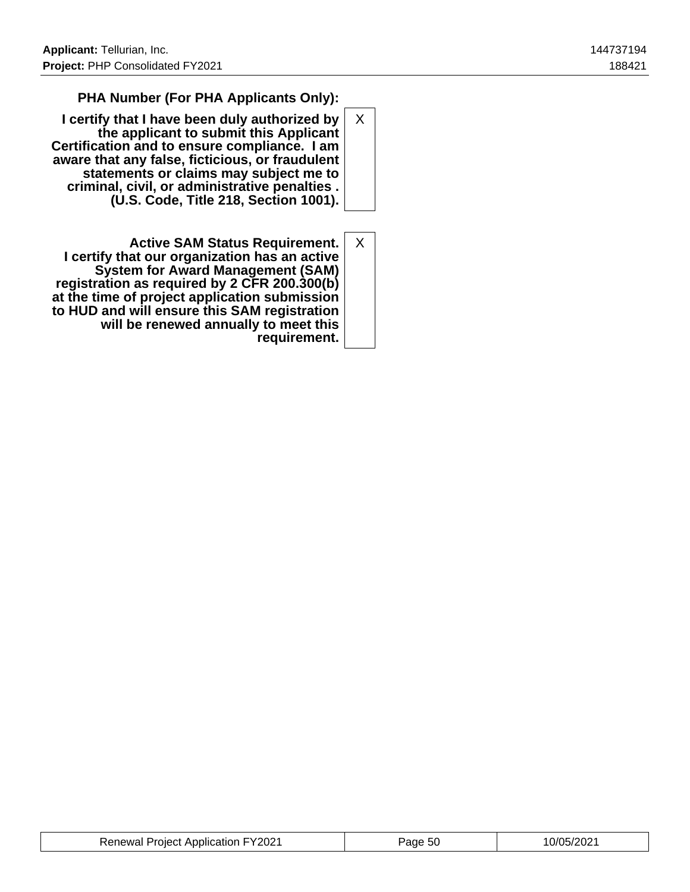## **PHA Number (For PHA Applicants Only):**

- **I certify that I have been duly authorized by the applicant to submit this Applicant Certification and to ensure compliance. I am aware that any false, ficticious, or fraudulent statements or claims may subject me to criminal, civil, or administrative penalties . (U.S. Code, Title 218, Section 1001).** X
- **Active SAM Status Requirement. I certify that our organization has an active System for Award Management (SAM) registration as required by 2 CFR 200.300(b) at the time of project application submission to HUD and will ensure this SAM registration will be renewed annually to meet this requirement.** X

| <b>Renewal Project Application FY2021</b> | Page 50 | 10/05/2021 |
|-------------------------------------------|---------|------------|
|-------------------------------------------|---------|------------|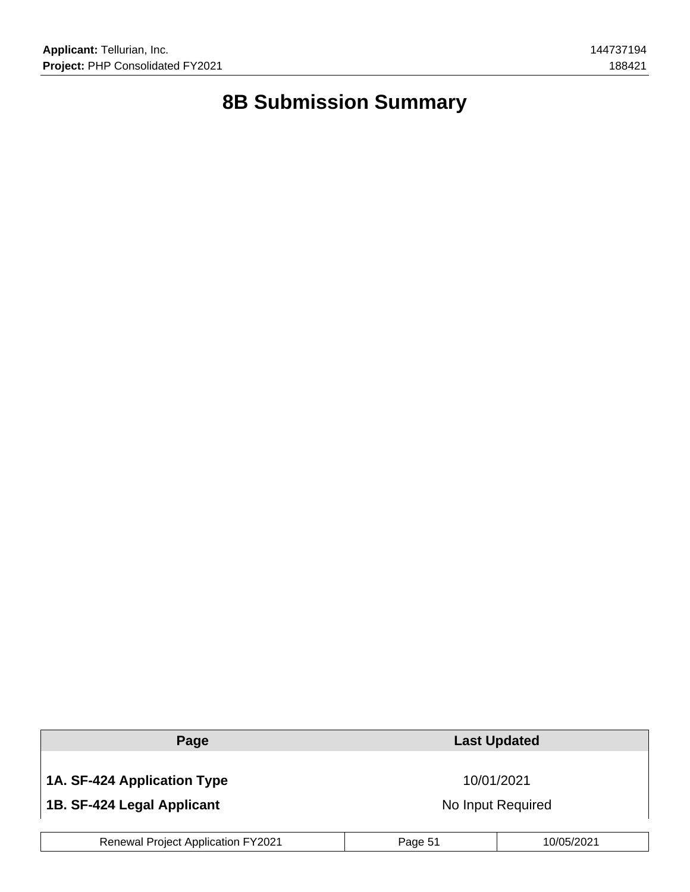# **8B Submission Summary**

| Page                                      | <b>Last Updated</b> |            |  |
|-------------------------------------------|---------------------|------------|--|
| 1A. SF-424 Application Type               |                     | 10/01/2021 |  |
| 1B. SF-424 Legal Applicant                | No Input Required   |            |  |
| <b>Renewal Project Application FY2021</b> | Page 51             | 10/05/2021 |  |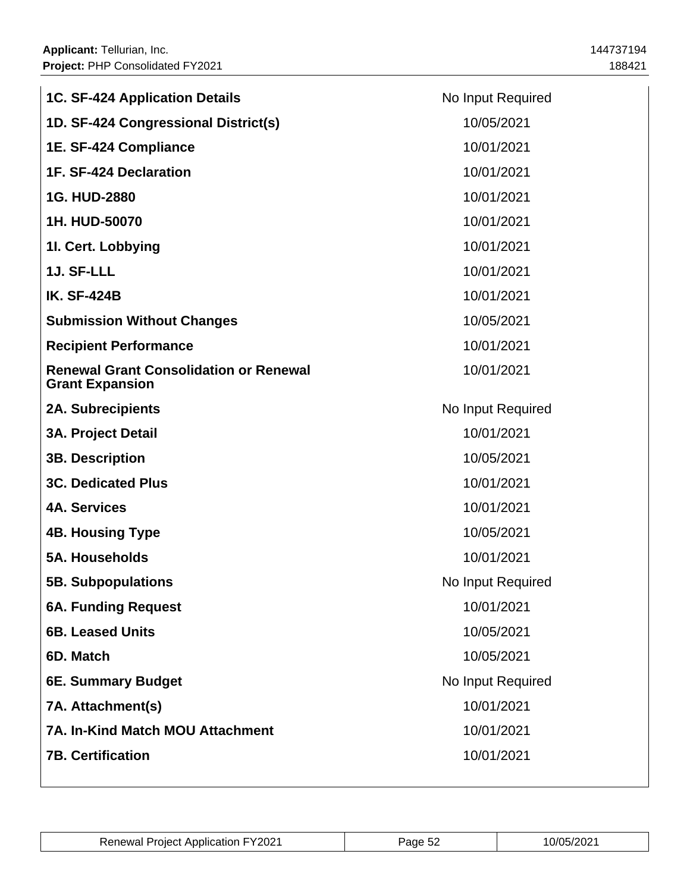| <b>1C. SF-424 Application Details</b>                                   | No Input Required |
|-------------------------------------------------------------------------|-------------------|
| 1D. SF-424 Congressional District(s)                                    | 10/05/2021        |
| 1E. SF-424 Compliance                                                   | 10/01/2021        |
| 1F. SF-424 Declaration                                                  | 10/01/2021        |
| 1G. HUD-2880                                                            | 10/01/2021        |
| 1H. HUD-50070                                                           | 10/01/2021        |
| 1I. Cert. Lobbying                                                      | 10/01/2021        |
| 1J. SF-LLL                                                              | 10/01/2021        |
| <b>IK. SF-424B</b>                                                      | 10/01/2021        |
| <b>Submission Without Changes</b>                                       | 10/05/2021        |
| <b>Recipient Performance</b>                                            | 10/01/2021        |
| <b>Renewal Grant Consolidation or Renewal</b><br><b>Grant Expansion</b> | 10/01/2021        |
| <b>2A. Subrecipients</b>                                                | No Input Required |
| <b>3A. Project Detail</b>                                               | 10/01/2021        |
| <b>3B. Description</b>                                                  | 10/05/2021        |
| <b>3C. Dedicated Plus</b>                                               | 10/01/2021        |
| <b>4A. Services</b>                                                     | 10/01/2021        |
| <b>4B. Housing Type</b>                                                 | 10/05/2021        |
| <b>5A. Households</b>                                                   | 10/01/2021        |
| <b>5B. Subpopulations</b>                                               | No Input Required |
| <b>6A. Funding Request</b>                                              | 10/01/2021        |
| <b>6B. Leased Units</b>                                                 | 10/05/2021        |
| 6D. Match                                                               | 10/05/2021        |
| 6E. Summary Budget                                                      | No Input Required |
| 7A. Attachment(s)                                                       | 10/01/2021        |
| <b>7A. In-Kind Match MOU Attachment</b>                                 | 10/01/2021        |
| <b>7B. Certification</b>                                                | 10/01/2021        |

| <b>Renewal Project Application FY2021</b> | 'ane | '05/202 |
|-------------------------------------------|------|---------|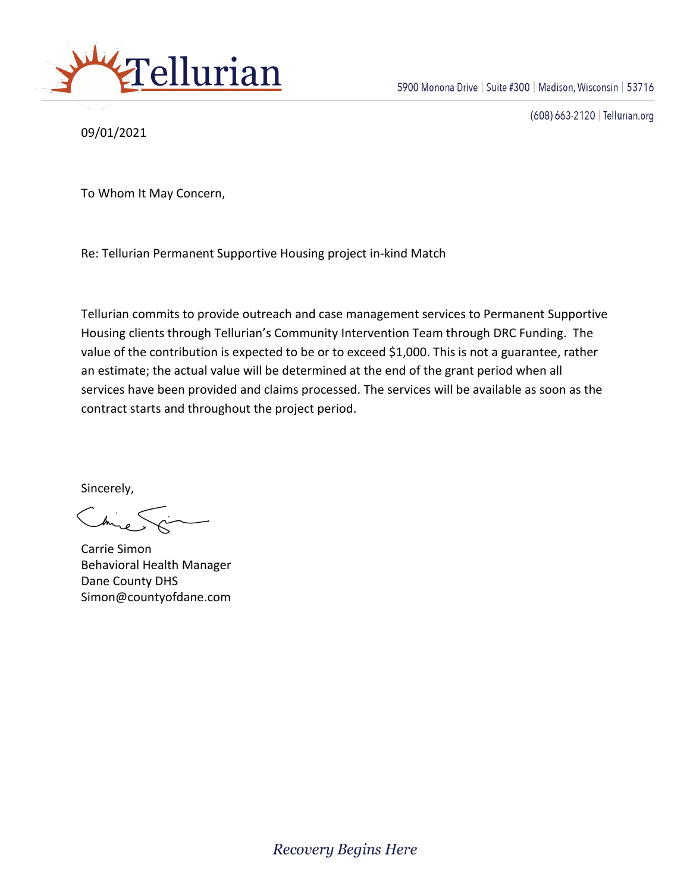

09/01/2021

(608) 663-2120 | Tellurian.org

To Whom It May Concern,

Re: Tellurian Permanent Supportive Housing project in-kind Match

Tellurian commits to provide outreach and case management services to Permanent Supportive Housing clients through Tellurian's Community Intervention Team through DRC Funding. The value of the contribution is expected to be or to exceed \$1,000. This is not a guarantee, rather an estimate; the actual value will be determined at the end of the grant period when all services have been provided and claims processed. The services will be available as soon as the contract starts and throughout the project period.

Sincerely,

Carrie Simon Behavioral Health Manager Dane County DHS Simon@countyofdane.com

**Recovery Begins Here**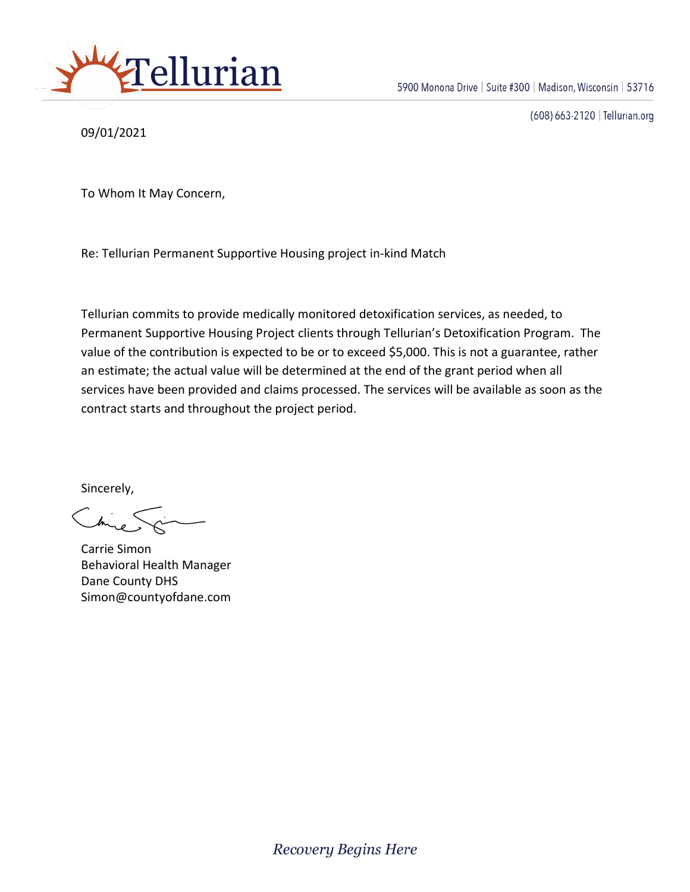

09/01/2021

(608) 663-2120 | Tellurian.org

To Whom It May Concern,

Re: Tellurian Permanent Supportive Housing project in-kind Match

Tellurian commits to provide medically monitored detoxification services, as needed, to Permanent Supportive Housing Project clients through Tellurian's Detoxification Program. The value of the contribution is expected to be or to exceed \$5,000. This is not a guarantee, rather an estimate; the actual value will be determined at the end of the grant period when all services have been provided and claims processed. The services will be available as soon as the contract starts and throughout the project period.

Sincerely,

Carrie Simon Behavioral Health Manager Dane County DHS Simon@countyofdane.com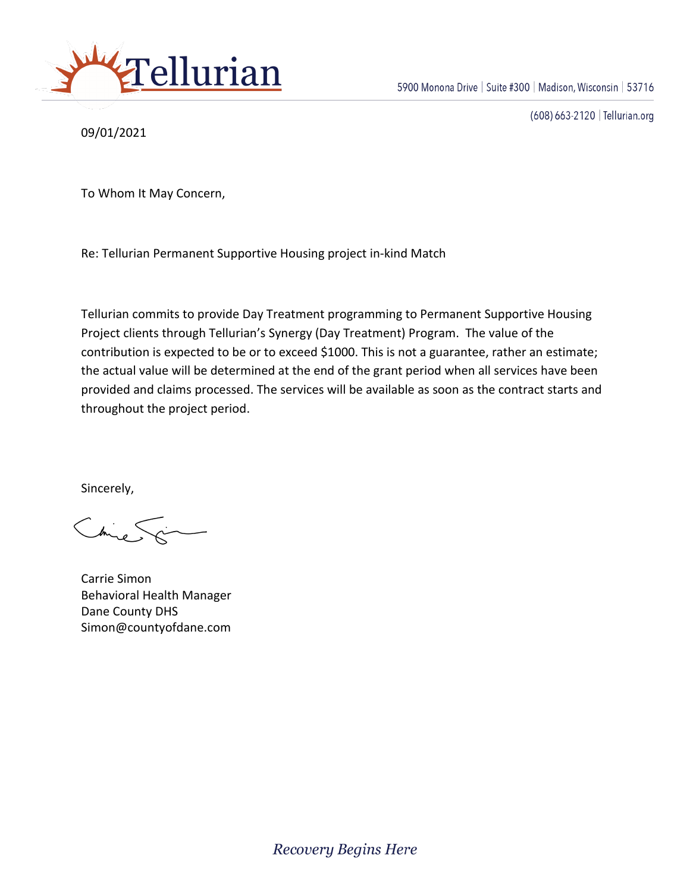

09/01/2021

(608) 663-2120 | Tellurian.org

To Whom It May Concern,

Re: Tellurian Permanent Supportive Housing project in-kind Match

Tellurian commits to provide Day Treatment programming to Permanent Supportive Housing Project clients through Tellurian's Synergy (Day Treatment) Program. The value of the contribution is expected to be or to exceed \$1000. This is not a guarantee, rather an estimate; the actual value will be determined at the end of the grant period when all services have been provided and claims processed. The services will be available as soon as the contract starts and throughout the project period.

Sincerely,

Carrie Simon Behavioral Health Manager Dane County DHS Simon@countyofdane.com

**Recovery Begins Here**